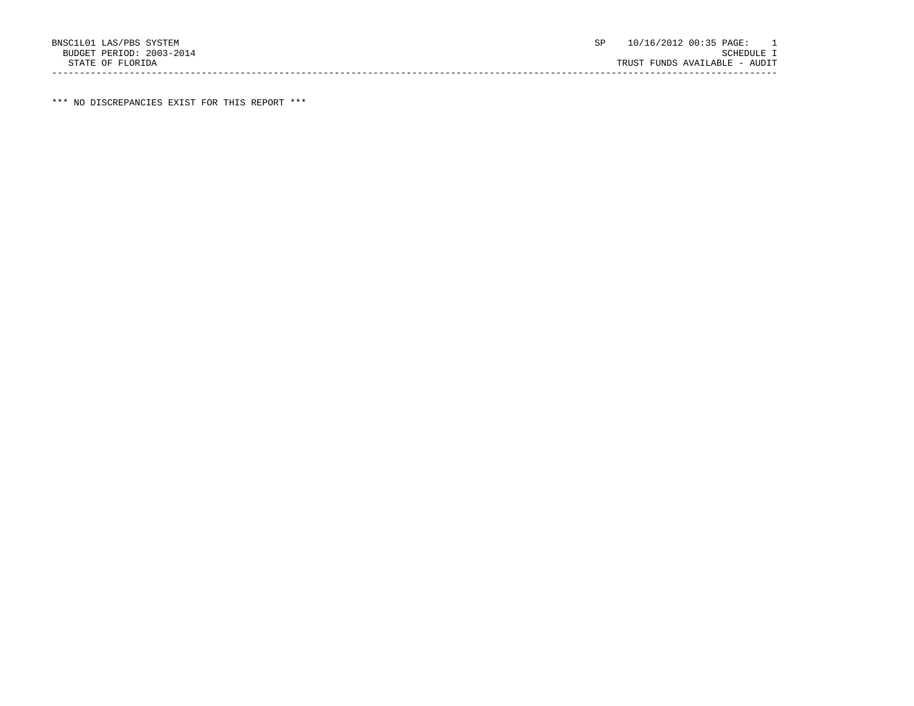\*\*\* NO DISCREPANCIES EXIST FOR THIS REPORT \*\*\*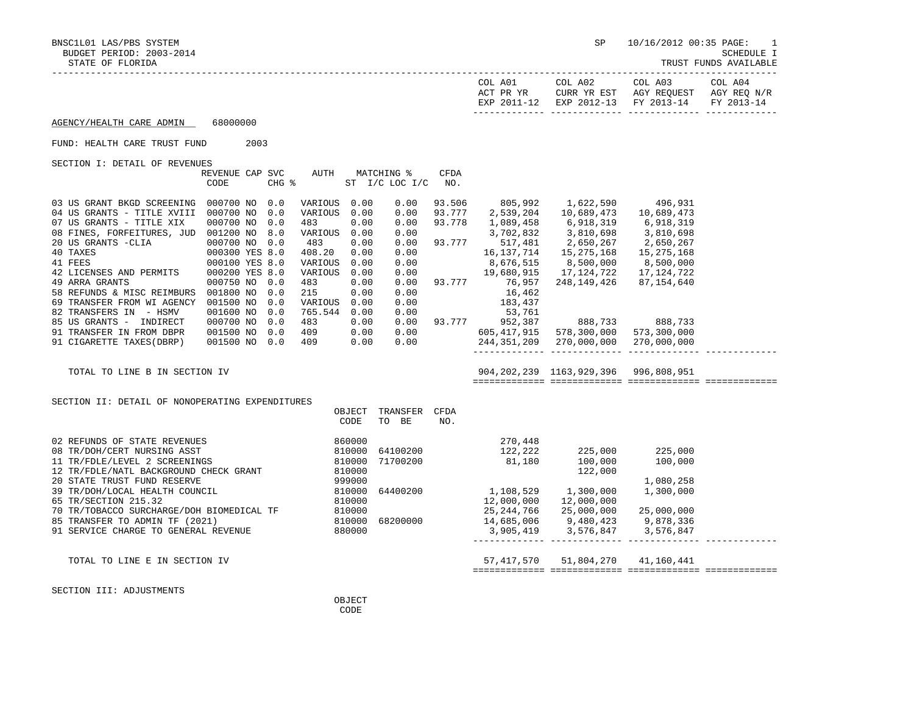BNSC1L01 LAS/PBS SYSTEM SP 10/16/2012 00:35 PAGE: 1

TRUST FUNDS AVAILABLE

| COL A01<br>ACT PR YR | COL A02 | COL A03<br>CURR YR EST AGY REOUEST AGY REO N/R | COL A04 |
|----------------------|---------|------------------------------------------------|---------|
|                      |         | EXP 2011-12 EXP 2012-13 FY 2013-14 FY 2013-14  |         |
|                      |         |                                                |         |

AGENCY/HEALTH CARE ADMIN 68000000

FUND: HEALTH CARE TRUST FUND 2003

SECTION I: DETAIL OF REVENUES

|                            | REVENUE CAP<br>CODE | SVC<br>CHG % | AUTH    | MATCHING %<br>ST I/C LOC I/C |      | CFDA<br>NO. |              |             |             |  |
|----------------------------|---------------------|--------------|---------|------------------------------|------|-------------|--------------|-------------|-------------|--|
|                            |                     |              |         |                              |      |             |              |             |             |  |
| 03 US GRANT BKGD SCREENING | 000700 NO           | 0.0          | VARIOUS | 0.00                         | 0.00 | 93.506      | 805,992      | 1,622,590   | 496,931     |  |
| 04 US GRANTS - TITLE XVIII | 000700 NO           | 0.0          | VARIOUS | 0.00                         | 0.00 | 93.777      | 2,539,204    | 10,689,473  | 10,689,473  |  |
| 07 US GRANTS - TITLE XIX   | 000700 NO           | 0.0          | 483     | 0.00                         | 0.00 | 93.778      | 1,089,458    | 6,918,319   | 6,918,319   |  |
| 08 FINES, FORFEITURES, JUD | 001200 NO           | 8.0          | VARIOUS | 0.00                         | 0.00 |             | 3,702,832    | 3,810,698   | 3,810,698   |  |
| 20 US GRANTS -CLIA         | 000700 NO           | 0.0          | 483     | 0.00                         | 0.00 | 93.777      | 517,481      | 2,650,267   | 2,650,267   |  |
| 40 TAXES                   | 000300 YES 8.0      |              | 408.20  | 0.00                         | 0.00 |             | 16, 137, 714 | 15,275,168  | 15,275,168  |  |
| 41 FEES                    | 000100 YES 8.0      |              | VARIOUS | 0.00                         | 0.00 |             | 8,676,515    | 8,500,000   | 8,500,000   |  |
| 42 LICENSES AND PERMITS    | 000200 YES 8.0      |              | VARIOUS | 0.00                         | 0.00 |             | 19,680,915   | 17,124,722  | 17,124,722  |  |
| 49 ARRA GRANTS             | 000750 NO           | 0.0          | 483     | 0.00                         | 0.00 | 93.777      | 76,957       | 248,149,426 | 87,154,640  |  |
| 58 REFUNDS & MISC REIMBURS | 001800 NO           | 0.0          | 215     | 0.00                         | 0.00 |             | 16,462       |             |             |  |
| 69 TRANSFER FROM WI AGENCY | 001500 NO           | 0.0          | VARIOUS | 0.00                         | 0.00 |             | 183,437      |             |             |  |
| 82 TRANSFERS IN<br>- HSMV  | 001600 NO           | 0.0          | 765.544 | 0.00                         | 0.00 |             | 53,761       |             |             |  |
| 85 US GRANTS -<br>INDIRECT | 000700 NO           | 0.0          | 483     | 0.00                         | 0.00 | 93.777      | 952,387      | 888,733     | 888,733     |  |
| 91 TRANSFER IN FROM DBPR   | 001500 NO           | 0.0          | 409     | 0.00                         | 0.00 |             | 605,417,915  | 578,300,000 | 573,300,000 |  |
| 91 CIGARETTE TAXES (DBRP)  | 001500 NO           | 0.0          | 409     | 0.00                         | 0.00 |             | 244,351,209  | 270,000,000 | 270,000,000 |  |
|                            |                     |              |         |                              |      |             |              |             |             |  |

 TOTAL TO LINE B IN SECTION IV 904,202,239 1163,929,396 996,808,951 ============= ============= ============= =============

| SECTION II: DETAIL OF NONOPERATING EXPENDITURES |  |  |  |  |  |  |
|-------------------------------------------------|--|--|--|--|--|--|
|-------------------------------------------------|--|--|--|--|--|--|

|                                           | OBJECT | TRANSFER | CFDA |            |            |            |  |
|-------------------------------------------|--------|----------|------|------------|------------|------------|--|
|                                           | CODE   | TO BE    | NO.  |            |            |            |  |
|                                           |        |          |      |            |            |            |  |
| 02 REFUNDS OF STATE REVENUES              | 860000 |          |      | 270,448    |            |            |  |
| 08 TR/DOH/CERT NURSING ASST               | 810000 | 64100200 |      | 122,222    | 225,000    | 225,000    |  |
| 11 TR/FDLE/LEVEL 2 SCREENINGS             | 810000 | 71700200 |      | 81,180     | 100,000    | 100,000    |  |
| 12 TR/FDLE/NATL BACKGROUND CHECK GRANT    | 810000 |          |      |            | 122,000    |            |  |
| 20 STATE TRUST FUND RESERVE               | 999000 |          |      |            |            | 1,080,258  |  |
| 39 TR/DOH/LOCAL HEALTH COUNCIL            | 810000 | 64400200 |      | 1,108,529  | 1,300,000  | 1,300,000  |  |
| 65 TR/SECTION 215.32                      | 810000 |          |      | 12,000,000 | 12,000,000 |            |  |
| 70 TR/TOBACCO SURCHARGE/DOH BIOMEDICAL TF | 810000 |          |      | 25,244,766 | 25,000,000 | 25,000,000 |  |
| 85 TRANSFER TO ADMIN TF (2021)            | 810000 | 68200000 |      | 14,685,006 | 9,480,423  | 9,878,336  |  |
| 91 SERVICE CHARGE TO GENERAL REVENUE      | 880000 |          |      | 3,905,419  | 3,576,847  | 3,576,847  |  |
|                                           |        |          |      |            |            |            |  |
| TOTAL TO LINE E IN SECTION IV             |        |          |      | 57,417,570 | 51,804,270 | 41,160,441 |  |
|                                           |        |          |      |            |            |            |  |

SECTION III: ADJUSTMENTS

**OBJECT CODE**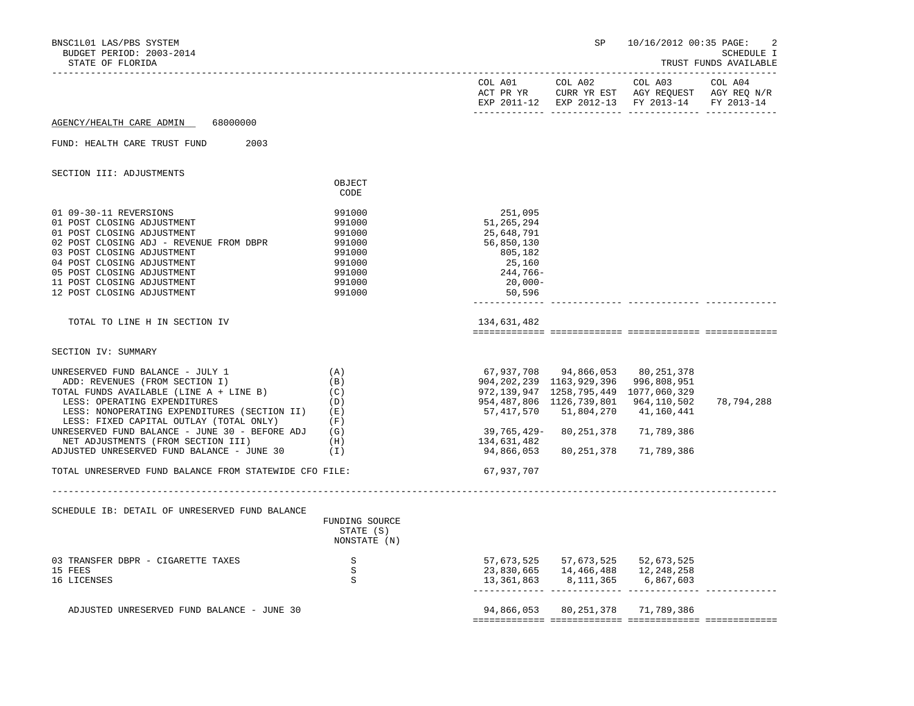| BNSC1L01 LAS/PBS SYSTEM<br>BUDGET PERIOD: 2003-2014<br>STATE OF FLORIDA                                                                                                                                                                                                             |                                                                                        | -------------------------                                                                                 | SP                                                                                                                                                                                                   | 10/16/2012 00:35 PAGE:                                                                                    | 2<br>SCHEDULE I<br>TRUST FUNDS AVAILABLE |
|-------------------------------------------------------------------------------------------------------------------------------------------------------------------------------------------------------------------------------------------------------------------------------------|----------------------------------------------------------------------------------------|-----------------------------------------------------------------------------------------------------------|------------------------------------------------------------------------------------------------------------------------------------------------------------------------------------------------------|-----------------------------------------------------------------------------------------------------------|------------------------------------------|
|                                                                                                                                                                                                                                                                                     |                                                                                        |                                                                                                           | COL A01 COL A02                                                                                                                                                                                      | COL A03<br>ACT PR YR CURR YR EST AGY REQUEST AGY REQ N/R<br>EXP 2011-12 EXP 2012-13 FY 2013-14 FY 2013-14 | COL A04                                  |
| 68000000<br>AGENCY/HEALTH CARE ADMIN                                                                                                                                                                                                                                                |                                                                                        |                                                                                                           |                                                                                                                                                                                                      |                                                                                                           |                                          |
| FUND: HEALTH CARE TRUST FUND<br>2003                                                                                                                                                                                                                                                |                                                                                        |                                                                                                           |                                                                                                                                                                                                      |                                                                                                           |                                          |
| SECTION III: ADJUSTMENTS                                                                                                                                                                                                                                                            | OBJECT                                                                                 |                                                                                                           |                                                                                                                                                                                                      |                                                                                                           |                                          |
|                                                                                                                                                                                                                                                                                     | CODE                                                                                   |                                                                                                           |                                                                                                                                                                                                      |                                                                                                           |                                          |
| 01 09-30-11 REVERSIONS<br>01 POST CLOSING ADJUSTMENT<br>01 POST CLOSING ADJUSTMENT<br>02 POST CLOSING ADJ - REVENUE FROM DBPR<br>03 POST CLOSING ADJUSTMENT<br>04 POST CLOSING ADJUSTMENT<br>05 POST CLOSING ADJUSTMENT<br>11 POST CLOSING ADJUSTMENT<br>12 POST CLOSING ADJUSTMENT | 991000<br>991000<br>991000<br>991000<br>991000<br>991000<br>991000<br>991000<br>991000 | 251,095<br>51, 265, 294<br>25,648,791<br>56,850,130<br>805,182<br>25,160<br>244,766-<br>20,000-<br>50,596 |                                                                                                                                                                                                      |                                                                                                           |                                          |
| TOTAL TO LINE H IN SECTION IV                                                                                                                                                                                                                                                       |                                                                                        | 134,631,482                                                                                               |                                                                                                                                                                                                      |                                                                                                           |                                          |
| SECTION IV: SUMMARY                                                                                                                                                                                                                                                                 |                                                                                        |                                                                                                           |                                                                                                                                                                                                      |                                                                                                           |                                          |
| UNRESERVED FUND BALANCE - JULY 1<br>ADD: REVENUES (FROM SECTION I)<br>TOTAL FUNDS AVAILABLE (LINE A + LINE B)<br>LESS: OPERATING EXPENDITURES<br>LESS: NONOPERATING EXPENDITURES (SECTION II)<br>LESS: FIXED CAPITAL OUTLAY (TOTAL ONLY)                                            | (A)<br>(B)<br>(C)<br>(D)<br>(E)<br>(F)                                                 |                                                                                                           | 67,937,708 94,866,053 80,251,378<br>904, 202, 239 1163, 929, 396 996, 808, 951<br>972, 139, 947 1258, 795, 449 1077, 060, 329<br>954, 487, 806 1126, 739, 801 964, 110, 502<br>57,417,570 51,804,270 | 41,160,441                                                                                                | 78,794,288                               |
| UNRESERVED FUND BALANCE - JUNE 30 - BEFORE ADJ<br>NET ADJUSTMENTS (FROM SECTION III)                                                                                                                                                                                                | (G)<br>(H)                                                                             | 39,765,429–<br>134,631,482                                                                                | 80,251,378                                                                                                                                                                                           | 71,789,386                                                                                                |                                          |
| ADJUSTED UNRESERVED FUND BALANCE - JUNE 30                                                                                                                                                                                                                                          | (I)                                                                                    | 94,866,053                                                                                                | 80,251,378                                                                                                                                                                                           | 71,789,386                                                                                                |                                          |
| TOTAL UNRESERVED FUND BALANCE FROM STATEWIDE CFO FILE:                                                                                                                                                                                                                              |                                                                                        | 67,937,707                                                                                                |                                                                                                                                                                                                      |                                                                                                           |                                          |
| SCHEDULE IB: DETAIL OF UNRESERVED FUND BALANCE                                                                                                                                                                                                                                      | FUNDING SOURCE<br>STATE (S)<br>NONSTATE (N)                                            |                                                                                                           |                                                                                                                                                                                                      |                                                                                                           |                                          |
| 03 TRANSFER DBPR - CIGARETTE TAXES<br>15 FEES<br>16 LICENSES                                                                                                                                                                                                                        | S S<br>S<br>S                                                                          |                                                                                                           | 57,673,525 57,673,525 52,673,525<br>23,830,665 14,466,488 12,248,258<br>13, 361, 863 8, 111, 365 6, 867, 603                                                                                         |                                                                                                           |                                          |
| ADJUSTED UNRESERVED FUND BALANCE - JUNE 30                                                                                                                                                                                                                                          |                                                                                        |                                                                                                           | 94,866,053 80,251,378 71,789,386                                                                                                                                                                     |                                                                                                           |                                          |
|                                                                                                                                                                                                                                                                                     |                                                                                        |                                                                                                           |                                                                                                                                                                                                      |                                                                                                           |                                          |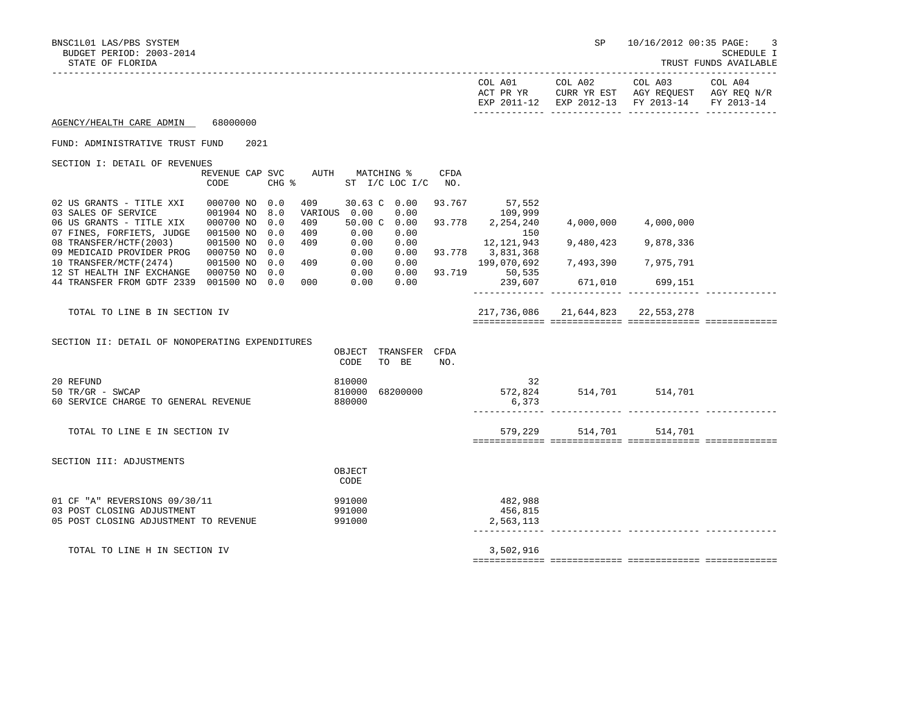BNSC1L01 LAS/PBS SYSTEM SP 10/16/2012 00:35 PAGE: 3

TRUST FUNDS AVAILABLE

| COL A01<br>ACT PR YR | COL A02 | COL A03<br>CURR YR EST AGY REOUEST AGY REO N/R | COL A04 |
|----------------------|---------|------------------------------------------------|---------|
|                      |         | EXP 2011-12 EXP 2012-13 FY 2013-14 FY 2013-14  |         |
|                      |         |                                                |         |

AGENCY/HEALTH CARE ADMIN 68000000

## FUND: ADMINISTRATIVE TRUST FUND 2021

SECTION I: DETAIL OF REVENUES

|                            | REVENUE CAP | SVC   | AUTH    | MATCHING %   |                 | CFDA   |              |           |           |  |
|----------------------------|-------------|-------|---------|--------------|-----------------|--------|--------------|-----------|-----------|--|
|                            | CODE        | CHG % |         | ST           | $I/C$ LOC $I/C$ | NO.    |              |           |           |  |
|                            |             |       |         |              |                 |        |              |           |           |  |
| 02 US GRANTS - TITLE XXI   | 000700 NO   | 0.0   | 409     | 30.63 C 0.00 |                 | 93.767 | 57,552       |           |           |  |
| 03 SALES OF SERVICE        | 001904 NO   | 8.0   | VARIOUS | 0.00         | 0.00            |        | 109,999      |           |           |  |
| 06 US GRANTS - TITLE XIX   | 000700 NO   | 0.0   | 409     | 50.00 C      | 0.00            | 93.778 | 2,254,240    | 4,000,000 | 4,000,000 |  |
| 07 FINES, FORFIETS, JUDGE  | 001500 NO   | 0.0   | 409     | 0.00         | 0.00            |        | 150          |           |           |  |
| 08 TRANSFER/HCTF(2003)     | 001500 NO   | 0.0   | 409     | 0.00         | 0.00            |        | 12, 121, 943 | 9,480,423 | 9,878,336 |  |
| 09 MEDICAID PROVIDER PROG  | 000750 NO   | 0.0   |         | 0.00         | 0.00            | 93.778 | 3,831,368    |           |           |  |
| 10 TRANSFER/MCTF(2474)     | 001500 NO   | 0.0   | 409     | 0.00         | 0.00            |        | 199,070,692  | 7,493,390 | 7,975,791 |  |
| 12 ST HEALTH INF EXCHANGE  | 000750 NO   | 0.0   |         | 0.00         | 0.00            | 93.719 | 50,535       |           |           |  |
| 44 TRANSFER FROM GDTF 2339 | 001500 NO   | 0.0   | 000     | 0.00         | 0.00            |        | 239,607      | 671,010   | 699,151   |  |
|                            |             |       |         |              |                 |        |              |           |           |  |

 TOTAL TO LINE B IN SECTION IV 217,736,086 21,644,823 22,553,278 ============= ============= ============= =============

SECTION II: DETAIL OF NONOPERATING EXPENDITURES

|                                       | OBJECT | TRANSFER | CFDA |           |         |         |  |
|---------------------------------------|--------|----------|------|-----------|---------|---------|--|
|                                       | CODE   | BE<br>TO | NO.  |           |         |         |  |
| 20 REFUND                             | 810000 |          |      | 32        |         |         |  |
| 50 TR/GR - SWCAP                      | 810000 | 68200000 |      | 572,824   | 514,701 | 514,701 |  |
| 60 SERVICE CHARGE TO GENERAL REVENUE  | 880000 |          |      | 6,373     |         |         |  |
|                                       |        |          |      |           |         |         |  |
| TOTAL TO LINE E IN SECTION IV         |        |          |      | 579,229   | 514,701 | 514,701 |  |
|                                       |        |          |      |           |         |         |  |
| SECTION III: ADJUSTMENTS              |        |          |      |           |         |         |  |
|                                       | OBJECT |          |      |           |         |         |  |
|                                       | CODE   |          |      |           |         |         |  |
| 01 CF "A" REVERSIONS 09/30/11         | 991000 |          |      | 482,988   |         |         |  |
| 03 POST CLOSING ADJUSTMENT            | 991000 |          |      | 456,815   |         |         |  |
| 05 POST CLOSING ADJUSTMENT TO REVENUE | 991000 |          |      | 2,563,113 |         |         |  |
|                                       |        |          |      |           |         |         |  |
| TOTAL TO LINE H IN SECTION IV         |        |          |      | 3,502,916 |         |         |  |
|                                       |        |          |      |           |         |         |  |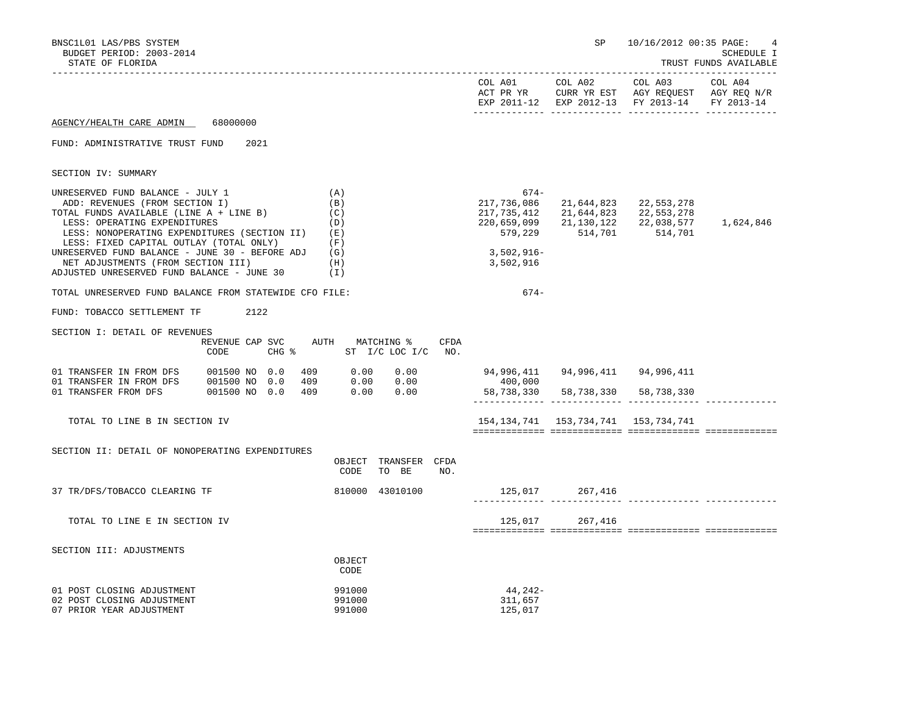| BNSC1L01 LAS/PBS SYSTEM<br>BUDGET PERIOD: 2003-2014<br>STATE OF FLORIDA                                                                                                                                                                                                                                                                                                        |                                                     |                                                             |                                                                                                         |      |                                                                            |                                                                      | SP 10/16/2012 00:35 PAGE:                                                                                 | 4<br><b>SCHEDULE I</b><br>TRUST FUNDS AVAILABLE |
|--------------------------------------------------------------------------------------------------------------------------------------------------------------------------------------------------------------------------------------------------------------------------------------------------------------------------------------------------------------------------------|-----------------------------------------------------|-------------------------------------------------------------|---------------------------------------------------------------------------------------------------------|------|----------------------------------------------------------------------------|----------------------------------------------------------------------|-----------------------------------------------------------------------------------------------------------|-------------------------------------------------|
|                                                                                                                                                                                                                                                                                                                                                                                |                                                     |                                                             |                                                                                                         |      |                                                                            | COL A01 COL A02                                                      | COL A03<br>ACT PR YR CURR YR EST AGY REQUEST AGY REQ N/R<br>EXP 2011-12 EXP 2012-13 FY 2013-14 FY 2013-14 | COL A04                                         |
| AGENCY/HEALTH CARE ADMIN 68000000                                                                                                                                                                                                                                                                                                                                              |                                                     |                                                             |                                                                                                         |      |                                                                            |                                                                      |                                                                                                           |                                                 |
| FUND: ADMINISTRATIVE TRUST FUND                                                                                                                                                                                                                                                                                                                                                | 2021                                                |                                                             |                                                                                                         |      |                                                                            |                                                                      |                                                                                                           |                                                 |
| SECTION IV: SUMMARY                                                                                                                                                                                                                                                                                                                                                            |                                                     |                                                             |                                                                                                         |      |                                                                            |                                                                      |                                                                                                           |                                                 |
| UNRESERVED FUND BALANCE - JULY 1<br>ADD: REVENUES (FROM SECTION I)<br>TOTAL FUNDS AVAILABLE (LINE A + LINE B)<br>LESS: OPERATING EXPENDITURES<br>LESS: NONOPERATING EXPENDITURES (SECTION II)<br>LESS: FIXED CAPITAL OUTLAY (TOTAL ONLY)<br>UNRESERVED FUND BALANCE - JUNE 30 - BEFORE ADJ<br>NET ADJUSTMENTS (FROM SECTION III)<br>ADJUSTED UNRESERVED FUND BALANCE - JUNE 30 |                                                     | (A)<br>(B)<br>(C)<br>(D)<br>(E)<br>(F)<br>(G)<br>(H)<br>(I) |                                                                                                         |      | 674-<br>217,736,086<br>217,735,412<br>579,229<br>$3,502,916-$<br>3,502,916 | 21,644,823<br>21,644,823<br>514,701 514,701                          | 22,553,278<br>22,553,278<br>220,659,099 21,130,122 22,038,577                                             | 1,624,846                                       |
| TOTAL UNRESERVED FUND BALANCE FROM STATEWIDE CFO FILE:                                                                                                                                                                                                                                                                                                                         |                                                     |                                                             |                                                                                                         |      | 674-                                                                       |                                                                      |                                                                                                           |                                                 |
| FUND: TOBACCO SETTLEMENT TF                                                                                                                                                                                                                                                                                                                                                    | 2122                                                |                                                             |                                                                                                         |      |                                                                            |                                                                      |                                                                                                           |                                                 |
| SECTION I: DETAIL OF REVENUES                                                                                                                                                                                                                                                                                                                                                  | REVENUE CAP SVC<br>CHG % ST I/C LOC I/C NO.<br>CODE |                                                             | AUTH MATCHING %                                                                                         | CFDA |                                                                            |                                                                      |                                                                                                           |                                                 |
| 01 TRANSFER IN FROM DFS $001500$ NO $0.0$<br>01 TRANSFER IN FROM DFS $001500$ NO $0.0$<br>01 TRANSFER FROM DFS                                                                                                                                                                                                                                                                 | 001500 NO 0.0 409 0.00 0.00                         |                                                             | $\begin{array}{cccc} 409 & \quad & 0.00 & \quad & 0.00 \ 409 & \quad & 0.00 & \quad & 0.00 \end{array}$ |      | 400,000                                                                    | 94,996,411 94,996,411 94,996,411<br>58,738,330 58,738,330 58,738,330 |                                                                                                           |                                                 |
| TOTAL TO LINE B IN SECTION IV                                                                                                                                                                                                                                                                                                                                                  |                                                     |                                                             |                                                                                                         |      |                                                                            |                                                                      | 154, 134, 741 153, 734, 741 153, 734, 741                                                                 |                                                 |
| SECTION II: DETAIL OF NONOPERATING EXPENDITURES                                                                                                                                                                                                                                                                                                                                |                                                     | CODE                                                        | OBJECT TRANSFER CFDA<br>TO BE                                                                           | NO.  |                                                                            |                                                                      |                                                                                                           |                                                 |
| 37 TR/DFS/TOBACCO CLEARING TF                                                                                                                                                                                                                                                                                                                                                  |                                                     |                                                             | 810000 43010100                                                                                         |      |                                                                            | 125,017 267,416                                                      |                                                                                                           |                                                 |
| TOTAL TO LINE E IN SECTION IV                                                                                                                                                                                                                                                                                                                                                  |                                                     |                                                             |                                                                                                         |      |                                                                            | 125,017 267,416                                                      |                                                                                                           |                                                 |
| SECTION III: ADJUSTMENTS                                                                                                                                                                                                                                                                                                                                                       |                                                     | OBJECT<br>CODE                                              |                                                                                                         |      |                                                                            |                                                                      |                                                                                                           |                                                 |
| 01 POST CLOSING ADJUSTMENT<br>02 POST CLOSING ADJUSTMENT<br>07 PRIOR YEAR ADJUSTMENT                                                                                                                                                                                                                                                                                           |                                                     | 991000<br>991000<br>991000                                  |                                                                                                         |      | 44,242-<br>311,657<br>125,017                                              |                                                                      |                                                                                                           |                                                 |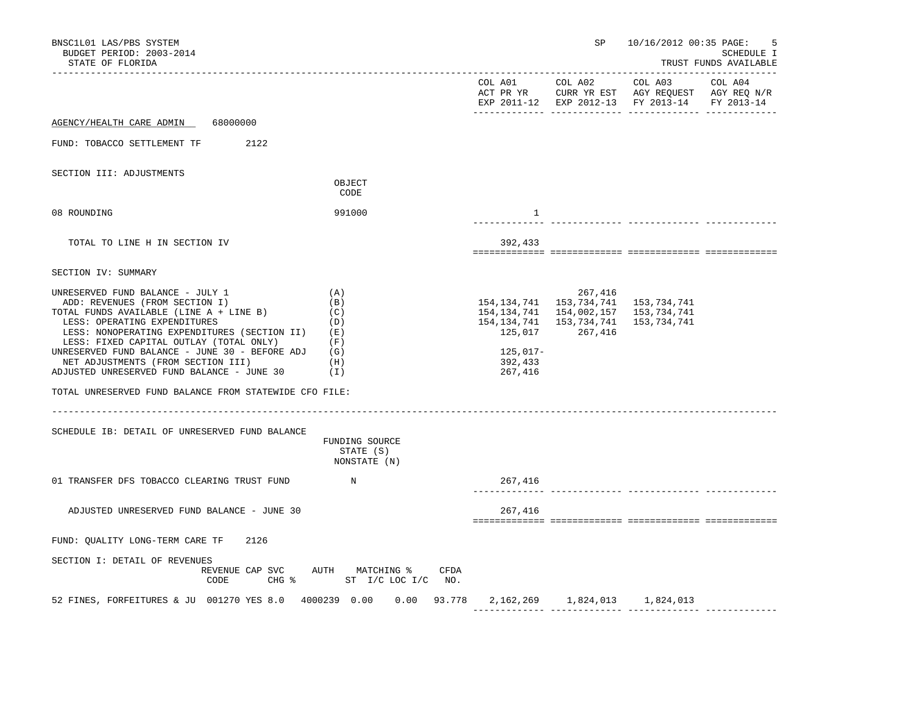| BNSC1L01 LAS/PBS SYSTEM<br>BUDGET PERIOD: 2003-2014<br>STATE OF FLORIDA                                                                                                                                                                                                                                                                                                        |                                                             |                                                            | SP                                                                                              | 10/16/2012 00:35 PAGE:                                                 | .5<br><b>SCHEDULE I</b><br>TRUST FUNDS AVAILABLE |
|--------------------------------------------------------------------------------------------------------------------------------------------------------------------------------------------------------------------------------------------------------------------------------------------------------------------------------------------------------------------------------|-------------------------------------------------------------|------------------------------------------------------------|-------------------------------------------------------------------------------------------------|------------------------------------------------------------------------|--------------------------------------------------|
|                                                                                                                                                                                                                                                                                                                                                                                |                                                             | COL A01                                                    | COL A02<br>EXP 2011-12 EXP 2012-13                                                              | COL A03<br>ACT PR YR CURR YR EST AGY REQUEST AGY REQ N/R<br>FY 2013-14 | COL A04<br>FY 2013-14                            |
| AGENCY/HEALTH CARE ADMIN<br>68000000                                                                                                                                                                                                                                                                                                                                           |                                                             |                                                            | _________________________________                                                               |                                                                        |                                                  |
| FUND: TOBACCO SETTLEMENT TF<br>2122                                                                                                                                                                                                                                                                                                                                            |                                                             |                                                            |                                                                                                 |                                                                        |                                                  |
| SECTION III: ADJUSTMENTS                                                                                                                                                                                                                                                                                                                                                       | OBJECT<br>CODE                                              |                                                            |                                                                                                 |                                                                        |                                                  |
| 08 ROUNDING                                                                                                                                                                                                                                                                                                                                                                    | 991000                                                      | $\mathbf{1}$                                               |                                                                                                 |                                                                        |                                                  |
| TOTAL TO LINE H IN SECTION IV                                                                                                                                                                                                                                                                                                                                                  |                                                             | 392,433                                                    |                                                                                                 |                                                                        |                                                  |
| SECTION IV: SUMMARY                                                                                                                                                                                                                                                                                                                                                            |                                                             |                                                            |                                                                                                 |                                                                        |                                                  |
| UNRESERVED FUND BALANCE - JULY 1<br>ADD: REVENUES (FROM SECTION I)<br>TOTAL FUNDS AVAILABLE (LINE A + LINE B)<br>LESS: OPERATING EXPENDITURES<br>LESS: NONOPERATING EXPENDITURES (SECTION II)<br>LESS: FIXED CAPITAL OUTLAY (TOTAL ONLY)<br>UNRESERVED FUND BALANCE - JUNE 30 - BEFORE ADJ<br>NET ADJUSTMENTS (FROM SECTION III)<br>ADJUSTED UNRESERVED FUND BALANCE - JUNE 30 | (A)<br>(B)<br>(C)<br>(D)<br>(E)<br>(F)<br>(G)<br>(H)<br>(I) | 154,134,741<br>125,017<br>$125,017-$<br>392,433<br>267,416 | 267,416<br>154, 134, 741 153, 734, 741<br>154, 134, 741 154, 002, 157<br>153,734,741<br>267,416 | 153,734,741<br>153,734,741<br>153,734,741                              |                                                  |
| TOTAL UNRESERVED FUND BALANCE FROM STATEWIDE CFO FILE:                                                                                                                                                                                                                                                                                                                         |                                                             |                                                            |                                                                                                 |                                                                        |                                                  |
| SCHEDULE IB: DETAIL OF UNRESERVED FUND BALANCE                                                                                                                                                                                                                                                                                                                                 | FUNDING SOURCE<br>STATE (S)<br>NONSTATE (N)                 |                                                            |                                                                                                 |                                                                        |                                                  |
| 01 TRANSFER DFS TOBACCO CLEARING TRUST FUND                                                                                                                                                                                                                                                                                                                                    | $\mathbb N$                                                 | 267,416                                                    |                                                                                                 | <u>___________</u> _________                                           |                                                  |
| ADJUSTED UNRESERVED FUND BALANCE - JUNE 30                                                                                                                                                                                                                                                                                                                                     |                                                             | 267,416                                                    |                                                                                                 |                                                                        |                                                  |
| FUND: QUALITY LONG-TERM CARE TF<br>2126                                                                                                                                                                                                                                                                                                                                        |                                                             |                                                            |                                                                                                 |                                                                        |                                                  |
| SECTION I: DETAIL OF REVENUES<br>REVENUE CAP SVC<br>CODE<br>$CHG$ $\frac{1}{6}$                                                                                                                                                                                                                                                                                                | AUTH MATCHING %<br>ST I/C LOC I/C NO.                       | CFDA                                                       |                                                                                                 |                                                                        |                                                  |
| 52 FINES, FORFEITURES & JU 001270 YES 8.0 4000239 0.00                                                                                                                                                                                                                                                                                                                         |                                                             | $0.00$ 93.778 2,162,269 1,824,013 1,824,013                |                                                                                                 |                                                                        |                                                  |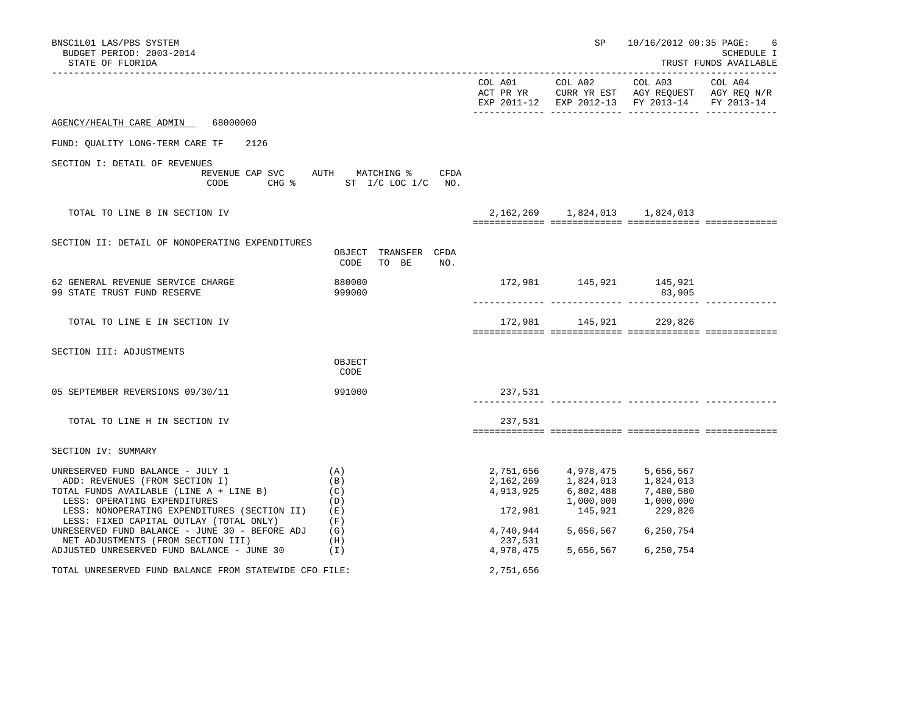| BNSC1L01 LAS/PBS SYSTEM<br>BUDGET PERIOD: 2003-2014<br>STATE OF FLORIDA                                                                                                                                                                                                                    |                                                                  |                      |                                                                                                                                                                                                                          | SP 10/16/2012 00:35 PAGE:                                                                                 | 6<br><b>SCHEDULE I</b><br>TRUST FUNDS AVAILABLE |
|--------------------------------------------------------------------------------------------------------------------------------------------------------------------------------------------------------------------------------------------------------------------------------------------|------------------------------------------------------------------|----------------------|--------------------------------------------------------------------------------------------------------------------------------------------------------------------------------------------------------------------------|-----------------------------------------------------------------------------------------------------------|-------------------------------------------------|
|                                                                                                                                                                                                                                                                                            |                                                                  |                      | COL A01 COL A02                                                                                                                                                                                                          | COL A03<br>ACT PR YR CURR YR EST AGY REQUEST AGY REQ N/R<br>EXP 2011-12 EXP 2012-13 FY 2013-14 FY 2013-14 | COL A04                                         |
| 68000000<br>AGENCY/HEALTH CARE ADMIN                                                                                                                                                                                                                                                       |                                                                  |                      |                                                                                                                                                                                                                          |                                                                                                           |                                                 |
| FUND: QUALITY LONG-TERM CARE TF<br>2126                                                                                                                                                                                                                                                    |                                                                  |                      |                                                                                                                                                                                                                          |                                                                                                           |                                                 |
| SECTION I: DETAIL OF REVENUES<br>CODE                                                                                                                                                                                                                                                      | REVENUE CAP SVC AUTH MATCHING % CFDA<br>CHG % ST I/C LOC I/C NO. |                      |                                                                                                                                                                                                                          |                                                                                                           |                                                 |
| TOTAL TO LINE B IN SECTION IV                                                                                                                                                                                                                                                              |                                                                  |                      | 2, 162, 269 1, 824, 013 1, 824, 013                                                                                                                                                                                      |                                                                                                           |                                                 |
| SECTION II: DETAIL OF NONOPERATING EXPENDITURES                                                                                                                                                                                                                                            | OBJECT TRANSFER CFDA<br>CODE<br>TO BE<br>NO.                     |                      |                                                                                                                                                                                                                          |                                                                                                           |                                                 |
| 62 GENERAL REVENUE SERVICE CHARGE<br>99 STATE TRUST FUND RESERVE                                                                                                                                                                                                                           | 880000<br>999000                                                 |                      | 172,981 145,921 145,921                                                                                                                                                                                                  | 83,905                                                                                                    |                                                 |
| TOTAL TO LINE E IN SECTION IV                                                                                                                                                                                                                                                              |                                                                  |                      | 172,981 145,921 229,826                                                                                                                                                                                                  |                                                                                                           |                                                 |
| SECTION III: ADJUSTMENTS                                                                                                                                                                                                                                                                   | OBJECT<br>CODE                                                   |                      |                                                                                                                                                                                                                          |                                                                                                           |                                                 |
| 05 SEPTEMBER REVERSIONS 09/30/11                                                                                                                                                                                                                                                           | 991000                                                           | 237,531              |                                                                                                                                                                                                                          |                                                                                                           |                                                 |
| TOTAL TO LINE H IN SECTION IV                                                                                                                                                                                                                                                              |                                                                  | 237,531              |                                                                                                                                                                                                                          |                                                                                                           |                                                 |
| SECTION IV: SUMMARY                                                                                                                                                                                                                                                                        |                                                                  |                      |                                                                                                                                                                                                                          |                                                                                                           |                                                 |
| UNRESERVED FUND BALANCE - JULY 1<br>ADD: REVENUES (FROM SECTION I)<br>TOTAL FUNDS AVAILABLE (LINE A + LINE B)<br>LESS: OPERATING EXPENDITURES<br>LESS: NONOPERATING EXPENDITURES (SECTION II)<br>LESS: FIXED CAPITAL OUTLAY (TOTAL ONLY)<br>UNRESERVED FUND BALANCE - JUNE 30 - BEFORE ADJ | (A)<br>(B)<br>(C)<br>(D)<br>(E)<br>(F)<br>(G)                    | 172,981<br>4,740,944 | 2,751,656 4,978,475 5,656,567<br>$\begin{array}{llll} 2\,, 162\,, 269 & \quad & 1\,, 824\,, 013 & \quad & 1\,, 824\,, 013 \\ 4\,, 913\,, 925 & \quad & 6\,, 802\,, 488 & \quad & 7\,, 480\,, 580 \end{array}$<br>145,921 | $1,000,000$ $1,000,000$<br>229,826<br>5,656,567 6,250,754                                                 |                                                 |
| NET ADJUSTMENTS (FROM SECTION III)<br>ADJUSTED UNRESERVED FUND BALANCE - JUNE 30                                                                                                                                                                                                           | (H)<br>(I)                                                       | 237,531<br>4,978,475 | 5,656,567                                                                                                                                                                                                                | 6,250,754                                                                                                 |                                                 |
| TOTAL UNRESERVED FUND BALANCE FROM STATEWIDE CFO FILE:                                                                                                                                                                                                                                     |                                                                  | 2,751,656            |                                                                                                                                                                                                                          |                                                                                                           |                                                 |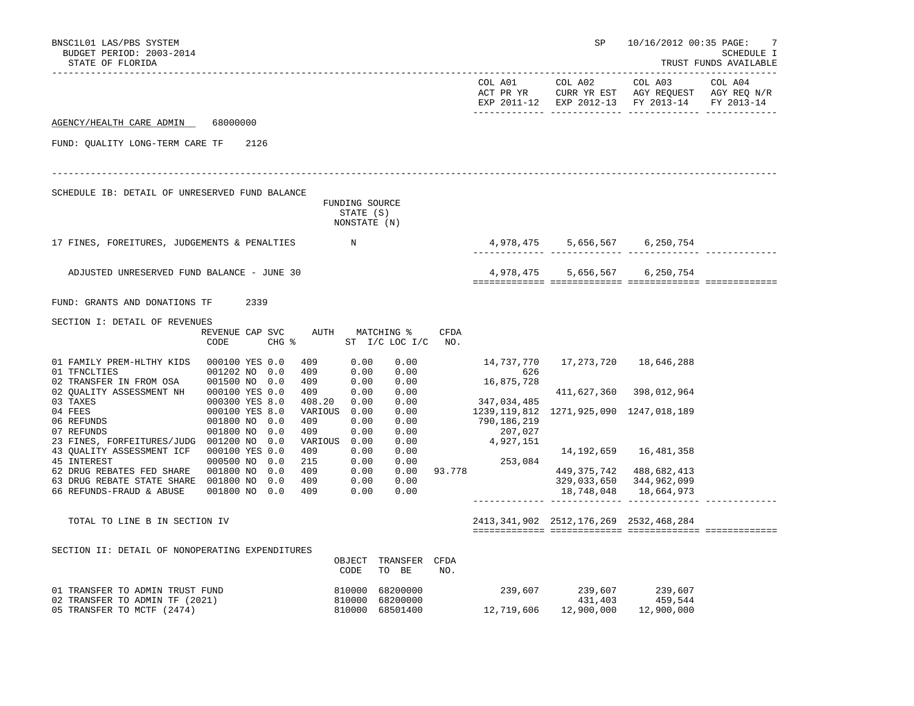| BNSC1L01 LAS/PBS SYSTEM<br>BUDGET PERIOD: 2003-2014                                                             |                                                     |                                              |                                         |               |                      | SP                                                                            | 10/16/2012 00:35 PAGE:                                                                                       | -7<br>SCHEDULE I                               |
|-----------------------------------------------------------------------------------------------------------------|-----------------------------------------------------|----------------------------------------------|-----------------------------------------|---------------|----------------------|-------------------------------------------------------------------------------|--------------------------------------------------------------------------------------------------------------|------------------------------------------------|
| STATE OF FLORIDA                                                                                                |                                                     |                                              |                                         |               | COL A01<br>ACT PR YR | COL A02                                                                       | --------------------<br>COL A03<br>CURR YR EST AGY REQUEST AGY REQ N/R<br>EXP 2011-12 EXP 2012-13 FY 2013-14 | TRUST FUNDS AVAILABLE<br>COL A04<br>FY 2013-14 |
| AGENCY/HEALTH CARE ADMIN                                                                                        | 68000000                                            |                                              |                                         |               |                      |                                                                               |                                                                                                              |                                                |
| FUND: OUALITY LONG-TERM CARE TF                                                                                 | 2126                                                |                                              |                                         |               |                      |                                                                               |                                                                                                              |                                                |
| SCHEDULE IB: DETAIL OF UNRESERVED FUND BALANCE                                                                  |                                                     | FUNDING SOURCE<br>STATE (S)<br>NONSTATE (N)  |                                         |               |                      |                                                                               |                                                                                                              |                                                |
| 17 FINES, FOREITURES, JUDGEMENTS & PENALTIES                                                                    |                                                     | $\mathbb N$                                  |                                         |               |                      | 4,978,475 5,656,567 6,250,754                                                 |                                                                                                              |                                                |
| ADJUSTED UNRESERVED FUND BALANCE - JUNE 30                                                                      |                                                     |                                              |                                         |               |                      | 4,978,475 5,656,567 6,250,754                                                 |                                                                                                              |                                                |
| FUND: GRANTS AND DONATIONS TF                                                                                   | 2339                                                |                                              |                                         |               |                      |                                                                               |                                                                                                              |                                                |
| SECTION I: DETAIL OF REVENUES                                                                                   | REVENUE CAP SVC<br>CODE                             | AUTH MATCHING %<br>$CHG$ $\approx$           | ST $I/C$ LOC $I/C$ NO.                  | <b>CFDA</b>   |                      |                                                                               |                                                                                                              |                                                |
| 01 FAMILY PREM-HLTHY KIDS 000100 YES 0.0<br>01 TFNCLTIES                                                        | 001202 NO 0.0                                       | 409<br>0.00<br>0.00<br>409                   | 0.00<br>0.00                            |               | 14,737,770<br>626    |                                                                               | 17,273,720 18,646,288                                                                                        |                                                |
| 02 TRANSFER IN FROM OSA 001500 NO 0.0<br>02 QUALITY ASSESSMENT NH<br>03 TAXES                                   | 000100 YES 0.0<br>000300 YES 8.0                    | 0.00<br>409<br>409<br>0.00<br>0.00<br>408.20 | 0.00<br>0.00<br>0.00                    |               | 16,875,728           | 411,627,360                                                                   | 398,012,964                                                                                                  |                                                |
| 04 FEES<br>06 REFUNDS<br>07 REFUNDS                                                                             | 000100 YES 8.0<br>001800 NO 0.0<br>001800 NO<br>0.0 | VARIOUS 0.00<br>0.00<br>409<br>0.00<br>409   | 0.00<br>0.00<br>0.00                    |               | 207,027              | 347,034,485<br>1239,119,812 1271,925,090 1247,018,189<br>790,186,219          |                                                                                                              |                                                |
| 23 FINES, FORFEITURES/JUDG 001200 NO 0.0<br>43 QUALITY ASSESSMENT ICF 000100 YES 0.0<br>45 INTEREST             | 000500 NO<br>0.0                                    | VARIOUS 0.00<br>0.00<br>409<br>0.00<br>215   | 0.00<br>0.00<br>0.00                    |               | 4,927,151<br>253,084 |                                                                               | 14, 192, 659 16, 481, 358                                                                                    |                                                |
| 62 DRUG REBATES FED SHARE 001800 NO 0.0<br>63 DRUG REBATE STATE SHARE 001800 NO 0.0<br>66 REFUNDS-FRAUD & ABUSE | 001800 NO 0.0                                       | 409<br>0.00<br>409<br>0.00<br>409<br>0.00    | 0.00<br>0.00                            | $0.00$ 93.778 |                      | 329,033,650<br>18,748,048                                                     | 449, 375, 742 488, 682, 413<br>344,962,099<br>18,664,973                                                     |                                                |
| TOTAL TO LINE B IN SECTION IV                                                                                   |                                                     |                                              |                                         |               |                      | 2413, 341, 902 2512, 176, 269 2532, 468, 284                                  |                                                                                                              |                                                |
| SECTION II: DETAIL OF NONOPERATING EXPENDITURES                                                                 |                                                     | CODE                                         | OBJECT TRANSFER CFDA<br>TO BE           | NO.           |                      |                                                                               |                                                                                                              |                                                |
| 01 TRANSFER TO ADMIN TRUST FUND<br>02 TRANSFER TO ADMIN TF (2021)<br>05 TRANSFER TO MCTF (2474)                 |                                                     | 810000<br>810000                             | 68200000<br>68200000<br>810000 68501400 |               |                      | $239,607$ $239,607$ $239,507$ $239,544$<br>12,719,606  12,900,000  12,900,000 |                                                                                                              |                                                |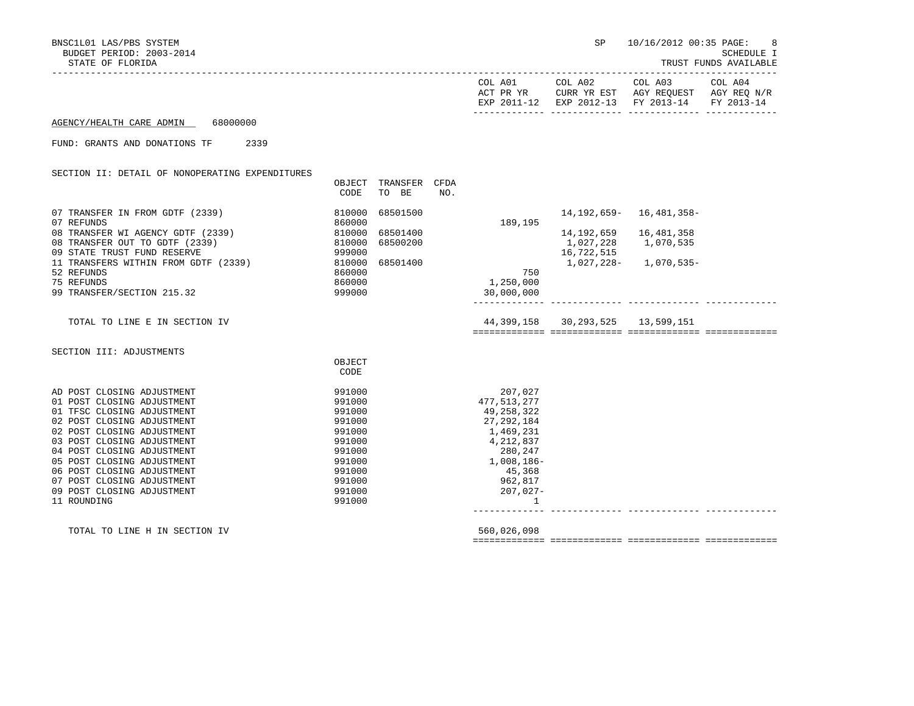BUDGET PERIOD: 2003-2014 SCHEDULE I STATE OF FLORIDA TRUST FUNDS AVAILABLE

BNSC1L01 LAS/PBS SYSTEM SP 10/16/2012 00:35 PAGE: 8

| COL A01<br>ACT PR YR<br>EXP 2011-12 | COL A02<br>CURR YR EST | COL A03<br>AGY REOUEST<br>EXP 2012-13 FY 2013-14 FY 2013-14 | COL A04<br>AGY REO N/R |
|-------------------------------------|------------------------|-------------------------------------------------------------|------------------------|
|                                     |                        |                                                             |                        |

AGENCY/HEALTH CARE ADMIN 68000000

-----------------------------------------------------------------------------------------------------------------------------------

FUND: GRANTS AND DONATIONS TF 2339

## SECTION II: DETAIL OF NONOPERATING EXPENDITURES OBJECT TRANSFER CFDA CODE TO BE NO. 07 TRANSFER IN FROM GDTF (2339)  $\begin{array}{c} 07 \text{ TRANSFER} \end{array}$  16,481,358-<br>07 REFUNDS 189.195 07 REFUNDS 189,195 08 TRANSFER WI AGENCY GDTF (2339) 810000 68501400 14,192,659 16,481,358<br>08 TRANSFER OUT TO GDTF (2339) 810000 68500200 1.027.228 1.070.535 08 TRANSFER OUT TO GDTF (2339) 810000 68500200 1,027,228 1,070,535 09 STATE TRUST FUND RESERVE 999000 16,722,515 11 TRANSFERS WITHIN FROM GDTF (2339) 810000 68501400<br>52 REFUNDS 860000 150 52 REFUNDS 860000 750 75 REFUNDS 860000 1,250,000 99 TRANSFER/SECTION 215.32 999000 30,000,000 ------------- ------------- ------------- ------------- TOTAL TO LINE E IN SECTION IV 44,399,158 30,293,525 13,599,151 ============= ============= ============= ============= SECTION III: ADJUSTMENTS **OBJECT CODE** AD POST CLOSING ADJUSTMENT 300 2000 2000 991000 01 POST CLOSING ADJUSTMENT 991000 477,513,277 01 TFSC CLOSING ADJUSTMENT 02 POST CLOSING ADJUSTMENT 991000 27,292,184 02 POST CLOSING ADJUSTMENT 03 POST CLOSING ADJUSTMENT 991000 991000 4,212,837 04 POST CLOSING ADJUSTMENT 991000 280,247 05 POST CLOSING ADJUSTMENT 991000 1,008,186- 06 POST CLOSING ADJUSTMENT 07 POST CLOSING ADJUSTMENT 991000 962,817 09 POST CLOSING ADJUSTMENT 11 ROUNDING 991000 1 ------------- ------------- ------------- -------------

TOTAL TO LINE H IN SECTION IV 560,026,098

============= ============= ============= =============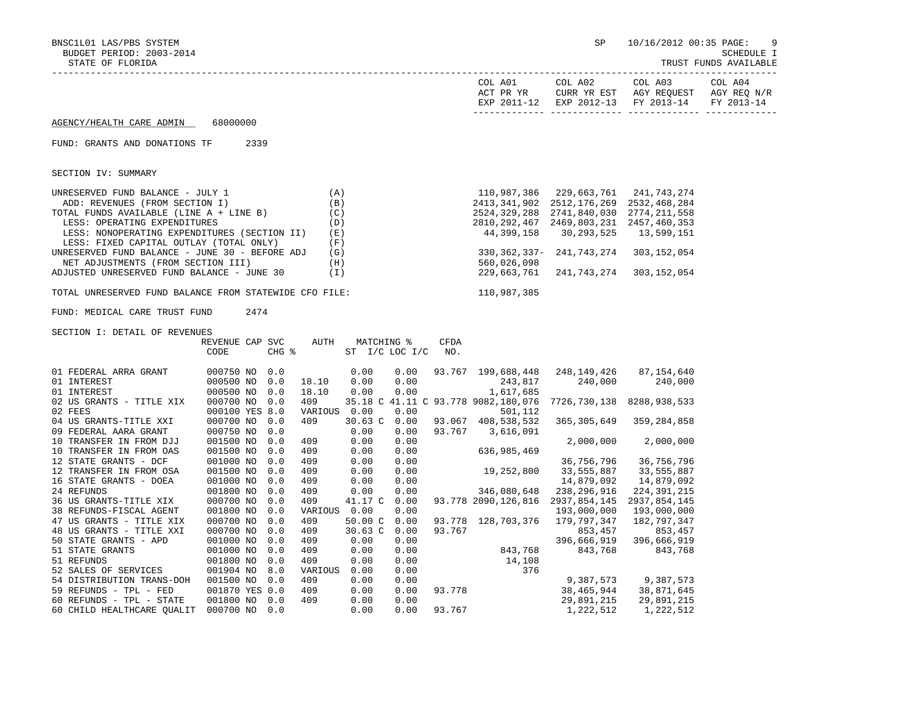BNSC1L01 LAS/PBS SYSTEM SP 10/16/2012 00:35 PAGE: 9 BUDGET PERIOD: 2003-2014 SCHEDULE I STATE OF FLORIDA TRUST FUNDS AVAILABLE ----------------------------------------------------------------------------------------------------------------------------------- COL A01 COL A02 COL A03 ACT PR YR CURR YR EST AGY REQUEST AGY REQ N/R EXP 2011-12 EXP 2012-13 FY 2013-14 FY 2013-14 ------------- ------------- ------------- ------------- AGENCY/HEALTH CARE ADMIN 68000000 FUND: GRANTS AND DONATIONS TF 2339 SECTION IV: SUMMARY UNRESERVED FUND BALANCE - JULY 1 (A) (A) 110,987,386 229,663,761 241,743,274 ADD: REVENUES (FROM SECTION I) (B) 2413,341,902 2512,176,269 2532,468,284 TOTAL FUNDS AVAILABLE (LINE A + LINE B) (C) 2524,329,288 2741,840,030 2774,211,558 LESS: OPERATING EXPENDITURES (D) 2810,292,467 2469,803,231 2457,460,353 LESS: NONOPERATING EXPENDITURES (SECTION II) (E) 44,399,158 30,293,525 13,599,151<br>LESS: FIXED CAPITAL OUTLAY (TOTAL ONLY) (F) LESS: FIXED CAPITAL OUTLAY (TOTAL ONLY) UNRESERVED FUND BALANCE - JUNE 30 - BEFORE ADJ (G) 330,362,337- 241,743,274 303,152,054<br>NET ADJUSTMENTS (FROM SECTION III) (H) 560,026,098 NET ADJUSTMENTS (FROM SECTION III) (H) (H)<br>ADJUSTED UNRESERVED FUND BALANCE – JUNE 30 (I) (DJUSTED 229,663,761 241,743,274 303,152,054 ADJUSTED UNRESERVED FUND BALANCE - JUNE 30 TOTAL UNRESERVED FUND BALANCE FROM STATEWIDE CFO FILE: 110,987,385 FUND: MEDICAL CARE TRUST FUND 2474 SECTION I: DETAIL OF REVENUES REVENUE CAP SVC AUTH MATCHING % CFDA CODE CHG % ST I/C LOC I/C NO. 01 FEDERAL ARRA GRANT 600750 NO 0.0 0.00 0.00 0.00 93.767 199,688,448 248,149,426 87,154,640 01 INTEREST 000500 NO 0.0 18.10 0.00 0.00 243,817 240,000 240,000 01 INTEREST 000500 NO 0.0 18.10 0.00 0.00 1,617,685 02 US GRANTS - TITLE XIX 000700 NO 0.0 409 35.18 C 41.11 C 93.778 9082,180,076 7726,730,138 8288,938,533<br>02 FEES 02 FEES 000100 YES 8.0 VARIOUS 0.00 0.00 501,112 04 US GRANTS-TITLE XXI 000700 NO 0.0 409 30.63 C 0.00 93.067 408,538,532 365,305,649 359,284,858 09 FEDERAL AARA GRANT 000750 NO 0.0 0.00 0.00 93.767 3,616,091 10 TRANSFER IN FROM DJJ 001500 NO 0.0 409 0.00 0.00 2,000,000 2,000,000 10 TRANSFER IN FROM OAS 001500 NO 0.0 409 0.00 0.00 636,985,469 12 STATE GRANTS - DCF 001000 NO 0.0 409 0.00 0.00 36,756,796 36,756,796 12 TRANSFER IN FROM OSA 001500 NO 0.0 409 0.00 0.00 19,252,800 33,555,887 33,555,887 16 STATE GRANTS - DOEA 001000 NO 0.0 409 0.00 0.00 14,879,092 14,879,092 24 REFUNDS 001800 NO 0.0 409 0.00 0.00 346,080,648 238,296,916 224,391,215 36 US GRANTS-TITLE XIX 000700 NO 0.0 409 41.17 C 0.00 93.778 2090,126,816 2937,854,145 2937,854,145 38 REFUNDS-FISCAL AGENT 001800 NO 0.0 VARIOUS 0.00 0.00 193,000,000 193,000,000 47 US GRANTS - TITLE XIX 000700 NO 0.0 409 50.00 C 0.00 93.778 128,703,376 179,797,347 182,797,347 48 US GRANTS - TITLE XXI 000700 NO 0.0 409 30.63 C 0.00 93.767 853,457 853,457 50 STATE GRANTS - APD 001000 NO 0.0 409 0.00 0.00 396,666,919 396,666,919 51 STATE GRANTS 001000 NO 0.0 409 0.00 0.00 843,768 843,768 843,768 51 REFUNDS 001800 NO 0.0 409 0.00 0.00 14,108 52 SALES OF SERVICES 001904 NO 8.0 VARIOUS 0.00 0.00 376 54 DISTRIBUTION TRANS-DOH 001500 NO 0.0 409 0.00 0.00 9,387,573 9,387,573 59 REFUNDS - TPL - FED 001870 YES 0.0 409 0.00 0.00 93.778 38,465,944 38,871,645 60 REFUNDS - TPL - STATE 001800 NO 0.0 409 0.00 0.00 29,891,215 29,891,215

60 CHILD HEALTHCARE QUALIT 000700 NO 0.0 0.00 0.00 93.767 1,222,512 1,222,512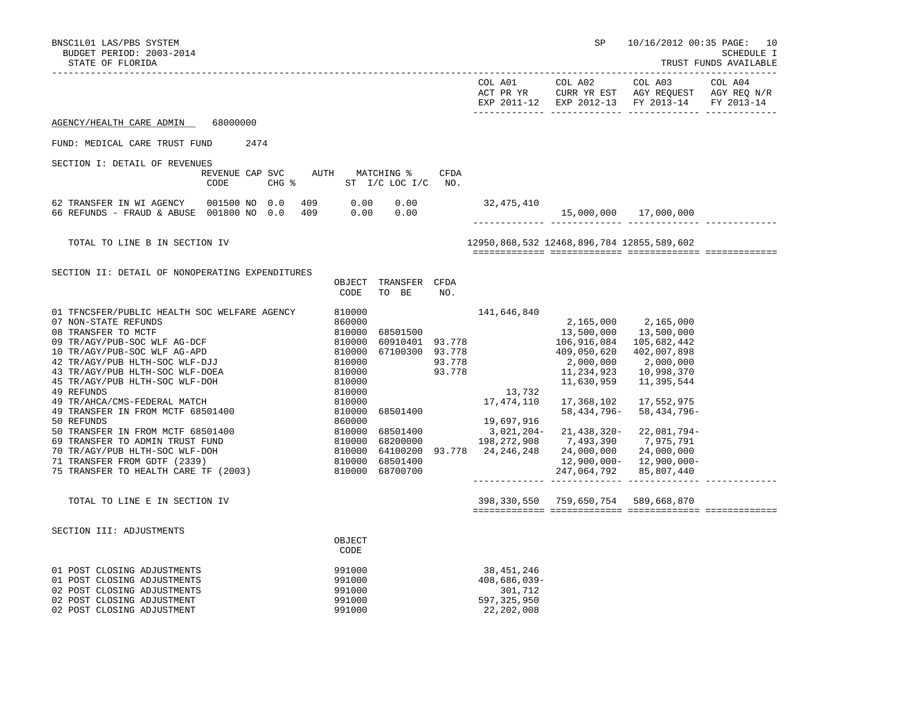BNSC1L01 LAS/PBS SYSTEM SP 10/16/2012 00:35 PAGE: 10<br>BUDGET PERIOD: 2003-2014 SCHEDULE I BUDGET PERIOD: 2003-2014<br>STATE OF FLORIDA

TRUST FUNDS AVAILABLE

|                                                                                                                                                                                                                                                                                                                                                                                                                                                                                                                                                       |                         |      |       |            |                                                                                                                                                                                             |                                                                                                          |                    | COL A01                                                                                                                         | COL A02                                                                                                                                                                                | COL A03<br>ACT PR YR CUL AUZ CUL AUS CUL AUS CUL AUST AGY REQUEST AGY REQ N/R<br>EXP 2011-12 EXP 2012-13 FY 2013-14                                                                                          | COL A04<br>FY 2013-14 |
|-------------------------------------------------------------------------------------------------------------------------------------------------------------------------------------------------------------------------------------------------------------------------------------------------------------------------------------------------------------------------------------------------------------------------------------------------------------------------------------------------------------------------------------------------------|-------------------------|------|-------|------------|---------------------------------------------------------------------------------------------------------------------------------------------------------------------------------------------|----------------------------------------------------------------------------------------------------------|--------------------|---------------------------------------------------------------------------------------------------------------------------------|----------------------------------------------------------------------------------------------------------------------------------------------------------------------------------------|--------------------------------------------------------------------------------------------------------------------------------------------------------------------------------------------------------------|-----------------------|
| AGENCY/HEALTH CARE ADMIN                                                                                                                                                                                                                                                                                                                                                                                                                                                                                                                              | 68000000                |      |       |            |                                                                                                                                                                                             |                                                                                                          |                    |                                                                                                                                 |                                                                                                                                                                                        |                                                                                                                                                                                                              |                       |
| FUND: MEDICAL CARE TRUST FUND                                                                                                                                                                                                                                                                                                                                                                                                                                                                                                                         |                         | 2474 |       |            |                                                                                                                                                                                             |                                                                                                          |                    |                                                                                                                                 |                                                                                                                                                                                        |                                                                                                                                                                                                              |                       |
| SECTION I: DETAIL OF REVENUES                                                                                                                                                                                                                                                                                                                                                                                                                                                                                                                         | REVENUE CAP SVC<br>CODE |      | CHG % | AUTH       |                                                                                                                                                                                             | MATCHING %<br>ST I/C LOC I/C                                                                             | <b>CFDA</b><br>NO. |                                                                                                                                 |                                                                                                                                                                                        |                                                                                                                                                                                                              |                       |
| 62 TRANSFER IN WI AGENCY<br>66 REFUNDS - FRAUD & ABUSE 001800 NO 0.0                                                                                                                                                                                                                                                                                                                                                                                                                                                                                  | 001500 NO 0.0           |      |       | 409<br>409 | 0.00<br>0.00                                                                                                                                                                                | 0.00<br>0.00                                                                                             |                    | 32,475,410                                                                                                                      |                                                                                                                                                                                        | 15,000,000 17,000,000                                                                                                                                                                                        |                       |
| TOTAL TO LINE B IN SECTION IV                                                                                                                                                                                                                                                                                                                                                                                                                                                                                                                         |                         |      |       |            |                                                                                                                                                                                             |                                                                                                          |                    |                                                                                                                                 | 12950,868,532 12468,896,784 12855,589,602                                                                                                                                              |                                                                                                                                                                                                              |                       |
| SECTION II: DETAIL OF NONOPERATING EXPENDITURES                                                                                                                                                                                                                                                                                                                                                                                                                                                                                                       |                         |      |       |            | OBJECT<br>CODE                                                                                                                                                                              | TRANSFER CFDA<br>TO BE                                                                                   | NO.                |                                                                                                                                 |                                                                                                                                                                                        |                                                                                                                                                                                                              |                       |
| 01 TFNCSFER/PUBLIC HEALTH SOC WELFARE AGENCY<br>07 NON-STATE REFUNDS<br>08 TRANSFER TO MCTF<br>09 TR/AGY/PUB-SOC WLF AG-DCF<br>10 TR/AGY/PUB-SOC WLF AG-APD<br>42 TR/AGY/PUB HLTH-SOC WLF-DJJ<br>43 TR/AGY/PUB HLTH-SOC WLF-DOEA<br>45 TR/AGY/PUB HLTH-SOC WLF-DOH<br>49 REFUNDS<br>49 TR/AHCA/CMS-FEDERAL MATCH<br>49 TRANSFER IN FROM MCTF 68501400<br>50 REFUNDS<br>50 TRANSFER IN FROM MCTF 68501400<br>69 TRANSFER TO ADMIN TRUST FUND<br>70 TR/AGY/PUB HLTH-SOC WLF-DOH<br>71 TRANSFER FROM GDTF (2339)<br>75 TRANSFER TO HEALTH CARE TF (2003) |                         |      |       |            | 810000<br>860000<br>810000<br>810000<br>810000<br>810000<br>810000<br>810000<br>810000<br>810000<br>810000<br>860000<br>$\begin{array}{r} 810000 \\ 810000 \\ 810000 \\ 810000 \end{array}$ | 68501500<br>67100300 93.778<br>93.778<br>68501400<br>68501400<br>68200000<br>68501400<br>810000 68700700 | 93.778             | 141,646,840<br>60910401 93.778<br>13,732<br>17,474,110<br>19,697,916<br>3,021,204-<br>198,272,908<br>64100200 93.778 24,246,248 | 13,500,000<br>106,916,084<br>409,050,620<br>2,000,000<br>11,234,923<br>11,630,959<br>17,368,102<br>58,434,796-<br>21,438,320-<br>7,493,390<br>24,000,000<br>12,900,000-<br>247,064,792 | 2,165,000 2,165,000<br>13,500,000<br>105,682,442<br>402,007,898<br>2,000,000<br>10,998,370<br>11,395,544<br>17,552,975<br>58,434,796-<br>22,081,794-<br>7,975,791<br>24,000,000<br>12,900,000-<br>85,807,440 |                       |
| TOTAL TO LINE E IN SECTION IV                                                                                                                                                                                                                                                                                                                                                                                                                                                                                                                         |                         |      |       |            |                                                                                                                                                                                             |                                                                                                          |                    |                                                                                                                                 | 398,330,550 759,650,754 589,668,870                                                                                                                                                    |                                                                                                                                                                                                              |                       |
| SECTION III: ADJUSTMENTS                                                                                                                                                                                                                                                                                                                                                                                                                                                                                                                              |                         |      |       |            | OBJECT<br>CODE                                                                                                                                                                              |                                                                                                          |                    |                                                                                                                                 |                                                                                                                                                                                        |                                                                                                                                                                                                              |                       |
| 01 POST CLOSING ADJUSTMENTS<br>01 POST CLOSING ADJUSTMENTS<br>02 POST CLOSING ADJUSTMENTS<br>02 POST CLOSING ADJUSTMENT<br>02 POST CLOSING ADJUSTMENT                                                                                                                                                                                                                                                                                                                                                                                                 |                         |      |       |            | 991000<br>991000<br>991000<br>991000<br>991000                                                                                                                                              |                                                                                                          |                    | 38,451,246<br>$408,686,039-$<br>301,712<br>597, 325, 950<br>22,202,008                                                          |                                                                                                                                                                                        |                                                                                                                                                                                                              |                       |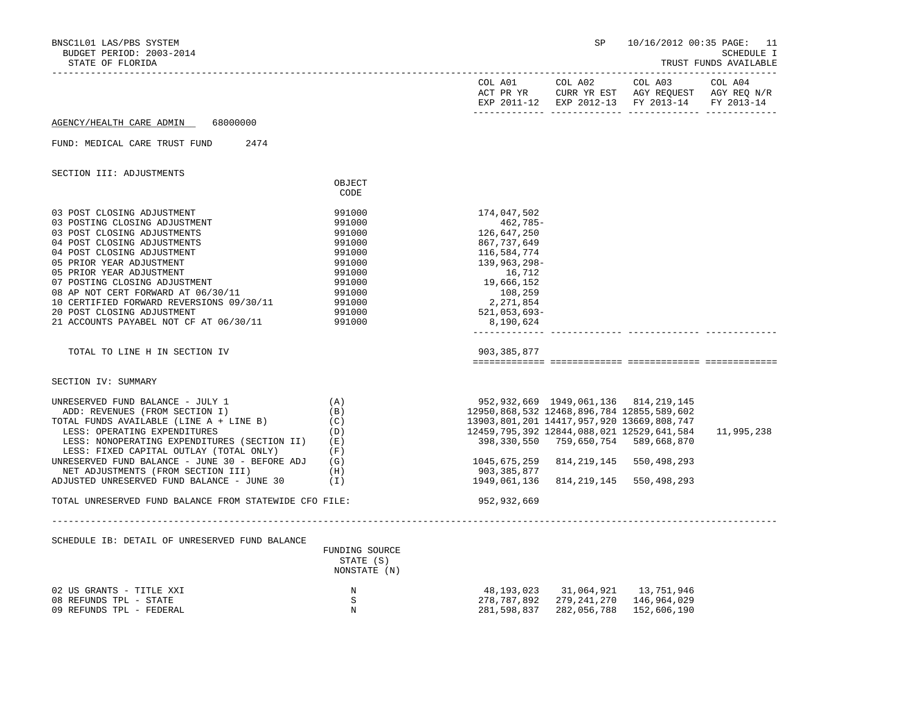| BNSC1L01 LAS/PBS SYSTEM                                |                           |                                                 | SP                                         |                                               | 10/16/2012 00:35 PAGE: 11           |
|--------------------------------------------------------|---------------------------|-------------------------------------------------|--------------------------------------------|-----------------------------------------------|-------------------------------------|
| BUDGET PERIOD: 2003-2014<br>STATE OF FLORIDA           |                           |                                                 |                                            |                                               | SCHEDULE I<br>TRUST FUNDS AVAILABLE |
|                                                        |                           |                                                 |                                            |                                               |                                     |
|                                                        |                           | COL A01                                         | COL A02                                    | COL A03                                       | COL A04                             |
|                                                        |                           |                                                 |                                            | ACT PR YR CURR YR EST AGY REQUEST AGY REQ N/R |                                     |
|                                                        |                           |                                                 |                                            | EXP 2011-12 EXP 2012-13 FY 2013-14 FY 2013-14 |                                     |
| 68000000<br>AGENCY/HEALTH CARE ADMIN                   |                           |                                                 |                                            |                                               |                                     |
|                                                        |                           |                                                 |                                            |                                               |                                     |
| FUND: MEDICAL CARE TRUST FUND<br>2474                  |                           |                                                 |                                            |                                               |                                     |
| SECTION III: ADJUSTMENTS                               |                           |                                                 |                                            |                                               |                                     |
|                                                        | OBJECT                    |                                                 |                                            |                                               |                                     |
|                                                        | CODE                      |                                                 |                                            |                                               |                                     |
| 03 POST CLOSING ADJUSTMENT                             | 991000                    | 174,047,502                                     |                                            |                                               |                                     |
| 03 POSTING CLOSING ADJUSTMENT                          | 991000                    | 462,785-                                        |                                            |                                               |                                     |
| 03 POST CLOSING ADJUSTMENTS                            | 991000                    | 126,647,250                                     |                                            |                                               |                                     |
| 04 POST CLOSING ADJUSTMENTS                            | 991000                    | 867,737,649                                     |                                            |                                               |                                     |
| 04 POST CLOSING ADJUSTMENT                             | 991000                    | 116,584,774                                     |                                            |                                               |                                     |
| 05 PRIOR YEAR ADJUSTMENT                               | 991000                    | 139,963,298-                                    |                                            |                                               |                                     |
|                                                        |                           |                                                 |                                            |                                               |                                     |
| 05 PRIOR YEAR ADJUSTMENT                               | 991000                    | 16,712                                          |                                            |                                               |                                     |
| 07 POSTING CLOSING ADJUSTMENT                          | 991000                    | 19,666,152                                      |                                            |                                               |                                     |
| 08 AP NOT CERT FORWARD AT 06/30/11                     | 991000                    | 108,259                                         |                                            |                                               |                                     |
| 10 CERTIFIED FORWARD REVERSIONS 09/30/11               | 991000                    | 2,271,854                                       |                                            |                                               |                                     |
| 20 POST CLOSING ADJUSTMENT                             | 991000                    | 521,053,693-                                    |                                            |                                               |                                     |
| 21 ACCOUNTS PAYABEL NOT CF AT 06/30/11                 | 991000                    | 8,190,624                                       |                                            |                                               |                                     |
|                                                        |                           |                                                 |                                            |                                               |                                     |
| TOTAL TO LINE H IN SECTION IV                          |                           | 903,385,877                                     |                                            |                                               |                                     |
|                                                        |                           |                                                 |                                            |                                               |                                     |
| SECTION IV: SUMMARY                                    |                           |                                                 |                                            |                                               |                                     |
| UNRESERVED FUND BALANCE - JULY 1                       | (A)                       |                                                 | 952, 932, 669 1949, 061, 136 814, 219, 145 |                                               |                                     |
| ADD: REVENUES (FROM SECTION I)                         | (B)                       | 12950,868,532 12468,896,784 12855,589,602       |                                            |                                               |                                     |
| TOTAL FUNDS AVAILABLE (LINE A + LINE B)                | (C)                       | 13903,801,201 14417,957,920 13669,808,747       |                                            |                                               |                                     |
| LESS: OPERATING EXPENDITURES                           | (D)                       | 12459, 795, 392 12844, 088, 021 12529, 641, 584 |                                            |                                               | 11,995,238                          |
| LESS: NONOPERATING EXPENDITURES (SECTION II)           | (E)                       |                                                 |                                            |                                               |                                     |
| LESS: FIXED CAPITAL OUTLAY (TOTAL ONLY)                | (F)                       |                                                 |                                            |                                               |                                     |
| UNRESERVED FUND BALANCE - JUNE 30 - BEFORE ADJ         | (G)                       | 1045,675,259                                    |                                            | 814, 219, 145 550, 498, 293                   |                                     |
| NET ADJUSTMENTS (FROM SECTION III)                     | (H)                       | 903,385,877                                     |                                            |                                               |                                     |
| ADJUSTED UNRESERVED FUND BALANCE - JUNE 30             | (I)                       | 1949,061,136                                    |                                            | 814, 219, 145 550, 498, 293                   |                                     |
| TOTAL UNRESERVED FUND BALANCE FROM STATEWIDE CFO FILE: |                           | 952,932,669                                     |                                            |                                               |                                     |
|                                                        |                           |                                                 |                                            |                                               |                                     |
| SCHEDULE IB: DETAIL OF UNRESERVED FUND BALANCE         |                           |                                                 |                                            |                                               |                                     |
|                                                        | FUNDING SOURCE            |                                                 |                                            |                                               |                                     |
|                                                        | STATE (S)<br>NONSTATE (N) |                                                 |                                            |                                               |                                     |
|                                                        |                           |                                                 |                                            |                                               |                                     |
| 02 US GRANTS - TITLE XXI                               | N                         | 48,193,023                                      |                                            |                                               |                                     |
| 08 REFUNDS TPL - STATE                                 | S                         | 278,787,892                                     |                                            | 279,241,270 146,964,029                       |                                     |
| 09 REFUNDS TPL - FEDERAL                               | N                         | 281,598,837                                     | 282,056,788                                | 152,606,190                                   |                                     |
|                                                        |                           |                                                 |                                            |                                               |                                     |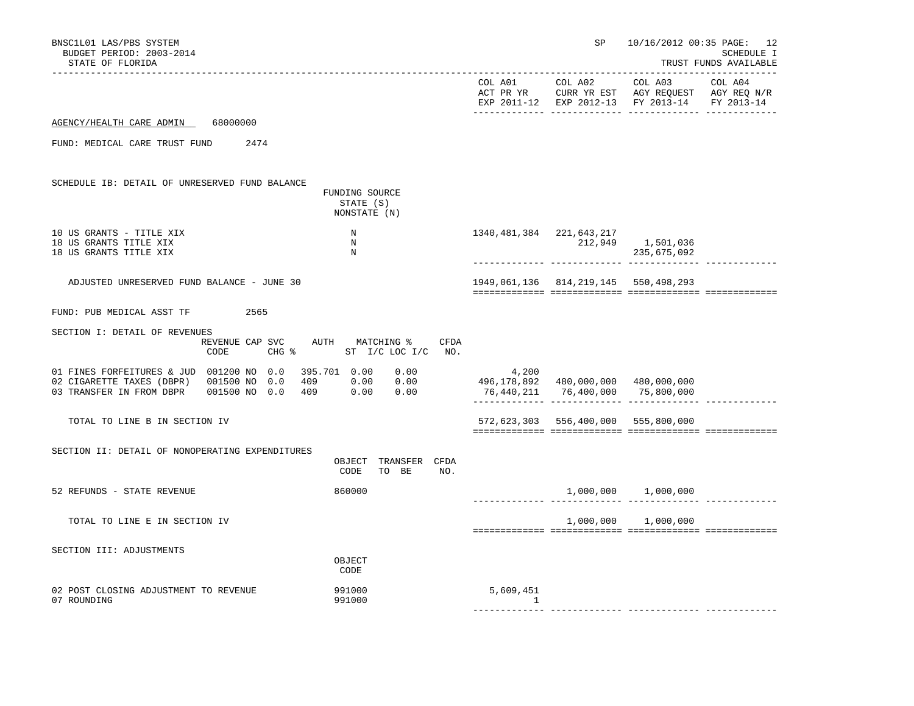| BNSC1L01 LAS/PBS SYSTEM<br>BUDGET PERIOD: 2003-2014<br>STATE OF FLORIDA                                                                                                                |                                              | SP                                   |                                                                                                                                   | 10/16/2012 00:35 PAGE: 12<br>SCHEDULE I<br>TRUST FUNDS AVAILABLE |
|----------------------------------------------------------------------------------------------------------------------------------------------------------------------------------------|----------------------------------------------|--------------------------------------|-----------------------------------------------------------------------------------------------------------------------------------|------------------------------------------------------------------|
|                                                                                                                                                                                        |                                              |                                      | COL A01 COL A02 COL A03 COL A04<br>ACT PR YR CURR YR EST AGY REQUEST AGY REQ N/A<br>EXP 2011-12 EXP 2012-13 FY 2013-14 FY 2013-14 |                                                                  |
| AGENCY/HEALTH CARE ADMIN 68000000                                                                                                                                                      |                                              |                                      |                                                                                                                                   |                                                                  |
| FUND: MEDICAL CARE TRUST FUND<br>2474                                                                                                                                                  |                                              |                                      |                                                                                                                                   |                                                                  |
| SCHEDULE IB: DETAIL OF UNRESERVED FUND BALANCE                                                                                                                                         |                                              |                                      |                                                                                                                                   |                                                                  |
| FUNDING SOURCE<br>STATE (S)<br>NONSTATE (N)                                                                                                                                            |                                              |                                      |                                                                                                                                   |                                                                  |
| 10 US GRANTS - TITLE XIX<br>$\, {\rm N}$<br>18 US GRANTS TITLE XIX<br>N<br>$\, {\rm N}$<br>18 US GRANTS TITLE XIX                                                                      | 1340, 481, 384 221, 643, 217                 |                                      | 212,949 1,501,036<br>235,675,092                                                                                                  |                                                                  |
| ADJUSTED UNRESERVED FUND BALANCE - JUNE 30                                                                                                                                             | 1949, 061, 136 814, 219, 145 550, 498, 293   |                                      |                                                                                                                                   |                                                                  |
| FUND: PUB MEDICAL ASST TF<br>2565                                                                                                                                                      |                                              |                                      |                                                                                                                                   |                                                                  |
| SECTION I: DETAIL OF REVENUES<br>REVENUE CAP SVC<br>AUTH MATCHING %<br>CFDA<br>$CHG$ $\approx$<br>CODE<br>ST I/C LOC I/C NO.                                                           |                                              |                                      |                                                                                                                                   |                                                                  |
| 01 FINES FORFEITURES & JUD 001200 NO 0.0<br>395.701  0.00  0.00<br>409 0.00 0.00<br>02 CIGARETTE TAXES (DBPR) 001500 NO 0.0<br>409 0.00 0.00<br>03 TRANSFER IN FROM DBPR 001500 NO 0.0 | 4,200<br>496,178,892 480,000,000 480,000,000 | 76,440,211 76,400,000 75,800,000     |                                                                                                                                   |                                                                  |
| TOTAL TO LINE B IN SECTION IV                                                                                                                                                          |                                              | 572,623,303 556,400,000 555,800,000  |                                                                                                                                   |                                                                  |
| SECTION II: DETAIL OF NONOPERATING EXPENDITURES<br>OBJECT TRANSFER CFDA<br>CODE<br>TO BE<br>NO.                                                                                        |                                              |                                      |                                                                                                                                   |                                                                  |
| 860000<br>52 REFUNDS - STATE REVENUE                                                                                                                                                   |                                              | ------------- ------------- -------- | $1,000,000$ $1,000,000$                                                                                                           |                                                                  |
| TOTAL TO LINE E IN SECTION IV                                                                                                                                                          |                                              |                                      | 1,000,000 1,000,000                                                                                                               |                                                                  |
| SECTION III: ADJUSTMENTS<br>OBJECT<br>CODE                                                                                                                                             |                                              |                                      |                                                                                                                                   |                                                                  |
| 02 POST CLOSING ADJUSTMENT TO REVENUE<br>991000<br>991000<br>07 ROUNDING                                                                                                               | 5,609,451<br>$\sim$ 1                        |                                      | ------------ -------------- ------                                                                                                |                                                                  |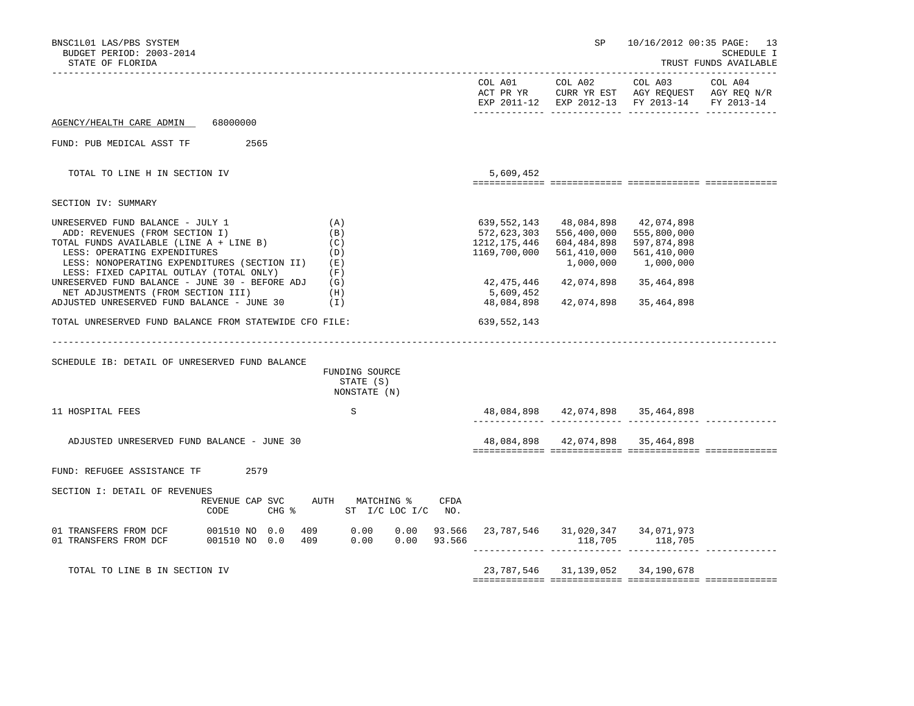| COL A02<br>COL A01<br>ACT PR YR<br>COL A03<br>COL A04<br>CURR YR EST AGY REQUEST AGY REQ N/R<br>EXP 2011-12 EXP 2012-13 FY 2013-14<br>FY 2013-14<br>68000000<br>AGENCY/HEALTH CARE ADMIN<br>FUND: PUB MEDICAL ASST TF<br>2565<br>TOTAL TO LINE H IN SECTION IV<br>5,609,452<br>SECTION IV: SUMMARY<br>UNRESERVED FUND BALANCE - JULY 1<br>(A)<br>639,552,143<br>48,084,898<br>42,074,898<br>ADD: REVENUES (FROM SECTION I)<br>(B)<br>572,623,303<br>556,400,000<br>555,800,000<br>TOTAL FUNDS AVAILABLE (LINE A + LINE B)<br>1212,175,446<br>604,484,898<br>597,874,898<br>(C)<br>LESS: OPERATING EXPENDITURES<br>1169,700,000<br>(D)<br>561,410,000<br>561,410,000<br>1,000,000<br>1,000,000<br>LESS: NONOPERATING EXPENDITURES (SECTION II)<br>(E)<br>LESS: FIXED CAPITAL OUTLAY (TOTAL ONLY)<br>(F)<br>UNRESERVED FUND BALANCE - JUNE 30 - BEFORE ADJ<br>42,475,446<br>42,074,898<br>(G)<br>35,464,898<br>NET ADJUSTMENTS (FROM SECTION III)<br>5,609,452<br>(H)<br>ADJUSTED UNRESERVED FUND BALANCE - JUNE 30<br>48,084,898<br>42,074,898<br>(I)<br>35,464,898<br>TOTAL UNRESERVED FUND BALANCE FROM STATEWIDE CFO FILE:<br>639,552,143<br>SCHEDULE IB: DETAIL OF UNRESERVED FUND BALANCE<br>FUNDING SOURCE<br>STATE (S)<br>NONSTATE (N)<br>48,084,898 42,074,898 35,464,898<br>11 HOSPITAL FEES<br>S<br>48,084,898 42,074,898 35,464,898<br>ADJUSTED UNRESERVED FUND BALANCE - JUNE 30<br>2579<br>FUND: REFUGEE ASSISTANCE TF<br>SECTION I: DETAIL OF REVENUES<br>REVENUE CAP SVC<br>AUTH MATCHING %<br>CFDA<br>$CHG$ $\approx$<br>ST I/C LOC I/C NO.<br>CODE<br>93.566 23,787,546 31,020,347 34,071,973<br>409 0.00<br>01 TRANSFERS FROM DCF<br>001510 NO 0.0<br>0.00<br>01 TRANSFERS FROM DCF<br>001510 NO 0.0<br>409<br>0.00<br>0.00<br>93.566<br>118,705<br>118,705<br>TOTAL TO LINE B IN SECTION IV<br>23, 787, 546 31, 139, 052 34, 190, 678 | BNSC1L01 LAS/PBS SYSTEM<br>BUDGET PERIOD: 2003-2014<br>STATE OF FLORIDA |  | SP | 10/16/2012 00:35 PAGE: 13<br>SCHEDULE I<br>TRUST FUNDS AVAILABLE |
|---------------------------------------------------------------------------------------------------------------------------------------------------------------------------------------------------------------------------------------------------------------------------------------------------------------------------------------------------------------------------------------------------------------------------------------------------------------------------------------------------------------------------------------------------------------------------------------------------------------------------------------------------------------------------------------------------------------------------------------------------------------------------------------------------------------------------------------------------------------------------------------------------------------------------------------------------------------------------------------------------------------------------------------------------------------------------------------------------------------------------------------------------------------------------------------------------------------------------------------------------------------------------------------------------------------------------------------------------------------------------------------------------------------------------------------------------------------------------------------------------------------------------------------------------------------------------------------------------------------------------------------------------------------------------------------------------------------------------------------------------------------------------------------------------------------------------------------------------------|-------------------------------------------------------------------------|--|----|------------------------------------------------------------------|
|                                                                                                                                                                                                                                                                                                                                                                                                                                                                                                                                                                                                                                                                                                                                                                                                                                                                                                                                                                                                                                                                                                                                                                                                                                                                                                                                                                                                                                                                                                                                                                                                                                                                                                                                                                                                                                                         |                                                                         |  |    |                                                                  |
|                                                                                                                                                                                                                                                                                                                                                                                                                                                                                                                                                                                                                                                                                                                                                                                                                                                                                                                                                                                                                                                                                                                                                                                                                                                                                                                                                                                                                                                                                                                                                                                                                                                                                                                                                                                                                                                         |                                                                         |  |    |                                                                  |
|                                                                                                                                                                                                                                                                                                                                                                                                                                                                                                                                                                                                                                                                                                                                                                                                                                                                                                                                                                                                                                                                                                                                                                                                                                                                                                                                                                                                                                                                                                                                                                                                                                                                                                                                                                                                                                                         |                                                                         |  |    |                                                                  |
|                                                                                                                                                                                                                                                                                                                                                                                                                                                                                                                                                                                                                                                                                                                                                                                                                                                                                                                                                                                                                                                                                                                                                                                                                                                                                                                                                                                                                                                                                                                                                                                                                                                                                                                                                                                                                                                         |                                                                         |  |    |                                                                  |
|                                                                                                                                                                                                                                                                                                                                                                                                                                                                                                                                                                                                                                                                                                                                                                                                                                                                                                                                                                                                                                                                                                                                                                                                                                                                                                                                                                                                                                                                                                                                                                                                                                                                                                                                                                                                                                                         |                                                                         |  |    |                                                                  |
|                                                                                                                                                                                                                                                                                                                                                                                                                                                                                                                                                                                                                                                                                                                                                                                                                                                                                                                                                                                                                                                                                                                                                                                                                                                                                                                                                                                                                                                                                                                                                                                                                                                                                                                                                                                                                                                         |                                                                         |  |    |                                                                  |
|                                                                                                                                                                                                                                                                                                                                                                                                                                                                                                                                                                                                                                                                                                                                                                                                                                                                                                                                                                                                                                                                                                                                                                                                                                                                                                                                                                                                                                                                                                                                                                                                                                                                                                                                                                                                                                                         |                                                                         |  |    |                                                                  |
|                                                                                                                                                                                                                                                                                                                                                                                                                                                                                                                                                                                                                                                                                                                                                                                                                                                                                                                                                                                                                                                                                                                                                                                                                                                                                                                                                                                                                                                                                                                                                                                                                                                                                                                                                                                                                                                         |                                                                         |  |    |                                                                  |
|                                                                                                                                                                                                                                                                                                                                                                                                                                                                                                                                                                                                                                                                                                                                                                                                                                                                                                                                                                                                                                                                                                                                                                                                                                                                                                                                                                                                                                                                                                                                                                                                                                                                                                                                                                                                                                                         |                                                                         |  |    |                                                                  |
|                                                                                                                                                                                                                                                                                                                                                                                                                                                                                                                                                                                                                                                                                                                                                                                                                                                                                                                                                                                                                                                                                                                                                                                                                                                                                                                                                                                                                                                                                                                                                                                                                                                                                                                                                                                                                                                         |                                                                         |  |    |                                                                  |
|                                                                                                                                                                                                                                                                                                                                                                                                                                                                                                                                                                                                                                                                                                                                                                                                                                                                                                                                                                                                                                                                                                                                                                                                                                                                                                                                                                                                                                                                                                                                                                                                                                                                                                                                                                                                                                                         |                                                                         |  |    |                                                                  |
|                                                                                                                                                                                                                                                                                                                                                                                                                                                                                                                                                                                                                                                                                                                                                                                                                                                                                                                                                                                                                                                                                                                                                                                                                                                                                                                                                                                                                                                                                                                                                                                                                                                                                                                                                                                                                                                         |                                                                         |  |    |                                                                  |
|                                                                                                                                                                                                                                                                                                                                                                                                                                                                                                                                                                                                                                                                                                                                                                                                                                                                                                                                                                                                                                                                                                                                                                                                                                                                                                                                                                                                                                                                                                                                                                                                                                                                                                                                                                                                                                                         |                                                                         |  |    |                                                                  |
|                                                                                                                                                                                                                                                                                                                                                                                                                                                                                                                                                                                                                                                                                                                                                                                                                                                                                                                                                                                                                                                                                                                                                                                                                                                                                                                                                                                                                                                                                                                                                                                                                                                                                                                                                                                                                                                         |                                                                         |  |    |                                                                  |
|                                                                                                                                                                                                                                                                                                                                                                                                                                                                                                                                                                                                                                                                                                                                                                                                                                                                                                                                                                                                                                                                                                                                                                                                                                                                                                                                                                                                                                                                                                                                                                                                                                                                                                                                                                                                                                                         |                                                                         |  |    |                                                                  |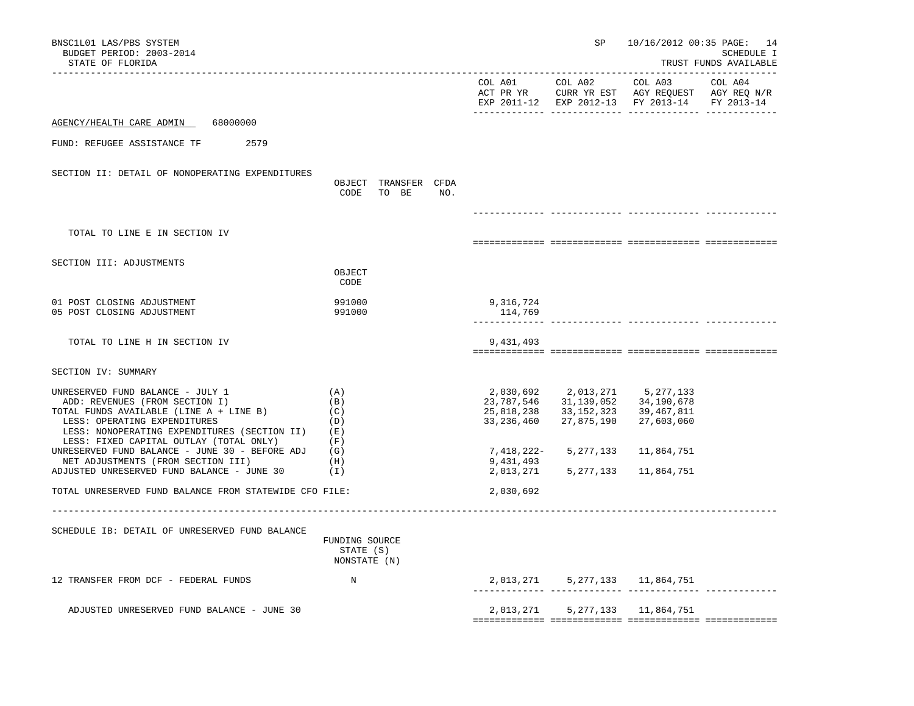| BNSC1L01 LAS/PBS SYSTEM<br>BUDGET PERIOD: 2003-2014<br>STATE OF FLORIDA                                                                                                                                                                                                                    |                                               |                                                                     | SP                                                                 | 10/16/2012 00:35 PAGE: 14                                                                      | SCHEDULE I<br>TRUST FUNDS AVAILABLE |
|--------------------------------------------------------------------------------------------------------------------------------------------------------------------------------------------------------------------------------------------------------------------------------------------|-----------------------------------------------|---------------------------------------------------------------------|--------------------------------------------------------------------|------------------------------------------------------------------------------------------------|-------------------------------------|
|                                                                                                                                                                                                                                                                                            |                                               | COL A01                                                             | COL A02                                                            | COL A03<br>ACT PR YR CURR YR EST AGY REQUEST AGY REQ N/R<br>EXP 2011-12 EXP 2012-13 FY 2013-14 | COL A04<br>FY 2013-14               |
| 68000000<br>AGENCY/HEALTH CARE ADMIN                                                                                                                                                                                                                                                       |                                               |                                                                     |                                                                    |                                                                                                |                                     |
| FUND: REFUGEE ASSISTANCE TF<br>2579                                                                                                                                                                                                                                                        |                                               |                                                                     |                                                                    |                                                                                                |                                     |
| SECTION II: DETAIL OF NONOPERATING EXPENDITURES                                                                                                                                                                                                                                            | OBJECT TRANSFER CFDA<br>CODE<br>TO BE         | NO.                                                                 |                                                                    |                                                                                                |                                     |
| TOTAL TO LINE E IN SECTION IV                                                                                                                                                                                                                                                              |                                               |                                                                     |                                                                    |                                                                                                |                                     |
|                                                                                                                                                                                                                                                                                            |                                               |                                                                     |                                                                    |                                                                                                |                                     |
| SECTION III: ADJUSTMENTS                                                                                                                                                                                                                                                                   | OBJECT<br>CODE                                |                                                                     |                                                                    |                                                                                                |                                     |
| 01 POST CLOSING ADJUSTMENT<br>05 POST CLOSING ADJUSTMENT                                                                                                                                                                                                                                   | 991000<br>991000                              | 9,316,724<br>114,769                                                |                                                                    |                                                                                                |                                     |
| TOTAL TO LINE H IN SECTION IV                                                                                                                                                                                                                                                              |                                               | 9,431,493                                                           |                                                                    |                                                                                                |                                     |
| SECTION IV: SUMMARY                                                                                                                                                                                                                                                                        |                                               |                                                                     |                                                                    |                                                                                                |                                     |
| UNRESERVED FUND BALANCE - JULY 1<br>ADD: REVENUES (FROM SECTION I)<br>TOTAL FUNDS AVAILABLE (LINE A + LINE B)<br>LESS: OPERATING EXPENDITURES<br>LESS: NONOPERATING EXPENDITURES (SECTION II)<br>LESS: FIXED CAPITAL OUTLAY (TOTAL ONLY)<br>UNRESERVED FUND BALANCE - JUNE 30 - BEFORE ADJ | (A)<br>(B)<br>(C)<br>(D)<br>(E)<br>(F)<br>(G) | 2,030,692<br>23,787,546<br>25,818,238<br>33, 236, 460<br>7,418,222- | 2,013,271<br>31,139,052<br>33, 152, 323<br>27,875,190<br>5,277,133 | 5,277,133<br>34,190,678<br>39,467,811<br>27,603,060<br>11,864,751                              |                                     |
| NET ADJUSTMENTS (FROM SECTION III)<br>ADJUSTED UNRESERVED FUND BALANCE - JUNE 30                                                                                                                                                                                                           | (H)<br>(I)                                    | 9,431,493<br>2,013,271                                              | 5, 277, 133                                                        | 11,864,751                                                                                     |                                     |
| TOTAL UNRESERVED FUND BALANCE FROM STATEWIDE CFO FILE:                                                                                                                                                                                                                                     |                                               | 2,030,692                                                           |                                                                    |                                                                                                |                                     |
| SCHEDULE IB: DETAIL OF UNRESERVED FUND BALANCE                                                                                                                                                                                                                                             | FUNDING SOURCE<br>STATE (S)<br>NONSTATE (N)   |                                                                     |                                                                    |                                                                                                |                                     |
| 12 TRANSFER FROM DCF - FEDERAL FUNDS                                                                                                                                                                                                                                                       | N                                             |                                                                     |                                                                    | 2,013,271 5,277,133 11,864,751                                                                 |                                     |
| ADJUSTED UNRESERVED FUND BALANCE - JUNE 30                                                                                                                                                                                                                                                 |                                               |                                                                     |                                                                    | 2,013,271 5,277,133 11,864,751                                                                 |                                     |